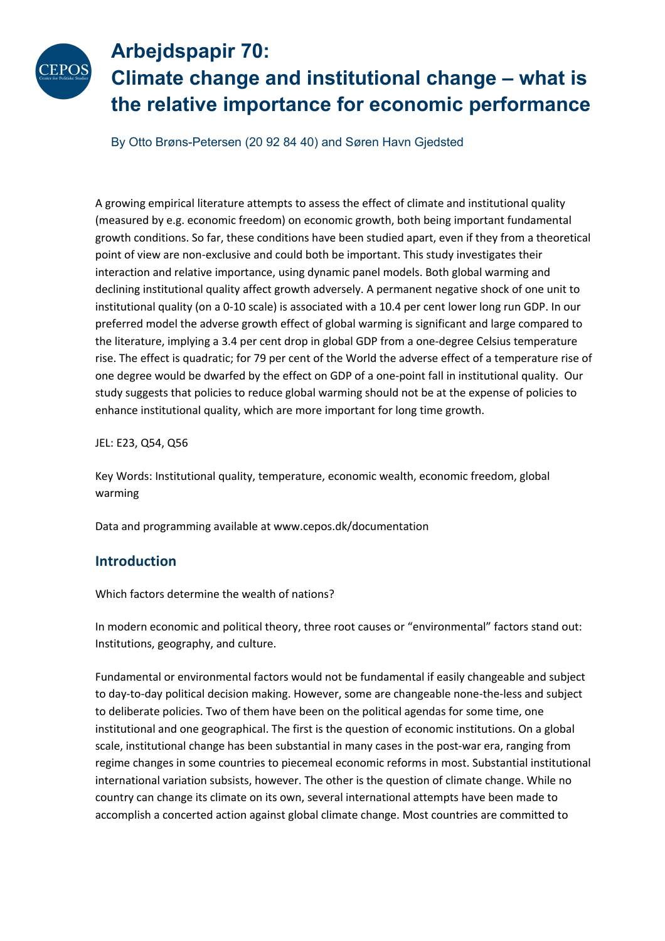# **EPOS**

# **Arbejdspapir 70: Climate change and institutional change – what is the relative importance for economic performance**

By Otto Brøns-Petersen (20 92 84 40) and Søren Havn Gjedsted

A growing empirical literature attempts to assess the effect of climate and institutional quality (measured by e.g. economic freedom) on economic growth, both being important fundamental growth conditions. So far, these conditions have been studied apart, even if they from a theoretical point of view are non-exclusive and could both be important. This study investigates their interaction and relative importance, using dynamic panel models. Both global warming and declining institutional quality affect growth adversely. A permanent negative shock of one unit to institutional quality (on a 0-10 scale) is associated with a 10.4 per cent lower long run GDP. In our preferred model the adverse growth effect of global warming is significant and large compared to the literature, implying a 3.4 per cent drop in global GDP from a one-degree Celsius temperature rise. The effect is quadratic; for 79 per cent of the World the adverse effect of a temperature rise of one degree would be dwarfed by the effect on GDP of a one-point fall in institutional quality. Our study suggests that policies to reduce global warming should not be at the expense of policies to enhance institutional quality, which are more important for long time growth.

JEL: E23, Q54, Q56

Key Words: Institutional quality, temperature, economic wealth, economic freedom, global warming

Data and programming available at www.cepos.dk/documentation

# **Introduction**

Which factors determine the wealth of nations?

In modern economic and political theory, three root causes or "environmental" factors stand out: Institutions, geography, and culture.

Fundamental or environmental factors would not be fundamental if easily changeable and subject to day-to-day political decision making. However, some are changeable none-the-less and subject to deliberate policies. Two of them have been on the political agendas for some time, one institutional and one geographical. The first is the question of economic institutions. On a global scale, institutional change has been substantial in many cases in the post-war era, ranging from regime changes in some countries to piecemeal economic reforms in most. Substantial institutional international variation subsists, however. The other is the question of climate change. While no country can change its climate on its own, several international attempts have been made to accomplish a concerted action against global climate change. Most countries are committed to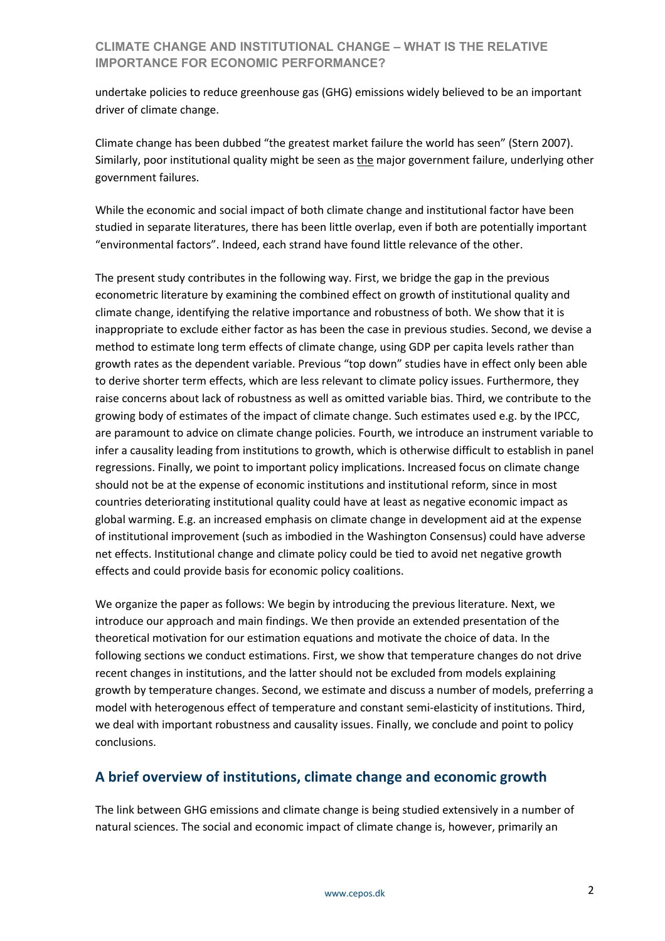undertake policies to reduce greenhouse gas (GHG) emissions widely believed to be an important driver of climate change.

Climate change has been dubbed "the greatest market failure the world has seen" (Stern 2007). Similarly, poor institutional quality might be seen as the major government failure, underlying other government failures.

While the economic and social impact of both climate change and institutional factor have been studied in separate literatures, there has been little overlap, even if both are potentially important "environmental factors". Indeed, each strand have found little relevance of the other.

The present study contributes in the following way. First, we bridge the gap in the previous econometric literature by examining the combined effect on growth of institutional quality and climate change, identifying the relative importance and robustness of both. We show that it is inappropriate to exclude either factor as has been the case in previous studies. Second, we devise a method to estimate long term effects of climate change, using GDP per capita levels rather than growth rates as the dependent variable. Previous "top down" studies have in effect only been able to derive shorter term effects, which are less relevant to climate policy issues. Furthermore, they raise concerns about lack of robustness as well as omitted variable bias. Third, we contribute to the growing body of estimates of the impact of climate change. Such estimates used e.g. by the IPCC, are paramount to advice on climate change policies. Fourth, we introduce an instrument variable to infer a causality leading from institutions to growth, which is otherwise difficult to establish in panel regressions. Finally, we point to important policy implications. Increased focus on climate change should not be at the expense of economic institutions and institutional reform, since in most countries deteriorating institutional quality could have at least as negative economic impact as global warming. E.g. an increased emphasis on climate change in development aid at the expense of institutional improvement (such as imbodied in the Washington Consensus) could have adverse net effects. Institutional change and climate policy could be tied to avoid net negative growth effects and could provide basis for economic policy coalitions.

We organize the paper as follows: We begin by introducing the previous literature. Next, we introduce our approach and main findings. We then provide an extended presentation of the theoretical motivation for our estimation equations and motivate the choice of data. In the following sections we conduct estimations. First, we show that temperature changes do not drive recent changes in institutions, and the latter should not be excluded from models explaining growth by temperature changes. Second, we estimate and discuss a number of models, preferring a model with heterogenous effect of temperature and constant semi-elasticity of institutions. Third, we deal with important robustness and causality issues. Finally, we conclude and point to policy conclusions.

# **A brief overview of institutions, climate change and economic growth**

The link between GHG emissions and climate change is being studied extensively in a number of natural sciences. The social and economic impact of climate change is, however, primarily an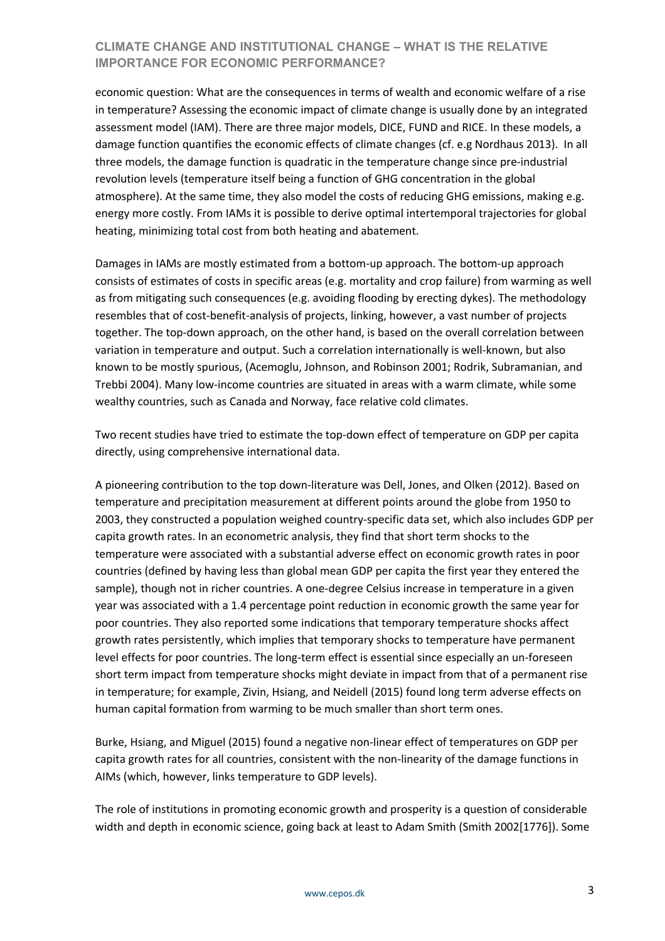economic question: What are the consequences in terms of wealth and economic welfare of a rise in temperature? Assessing the economic impact of climate change is usually done by an integrated assessment model (IAM). There are three major models, DICE, FUND and RICE. In these models, a damage function quantifies the economic effects of climate changes (cf. e.g Nordhaus 2013). In all three models, the damage function is quadratic in the temperature change since pre-industrial revolution levels (temperature itself being a function of GHG concentration in the global atmosphere). At the same time, they also model the costs of reducing GHG emissions, making e.g. energy more costly. From IAMs it is possible to derive optimal intertemporal trajectories for global heating, minimizing total cost from both heating and abatement.

Damages in IAMs are mostly estimated from a bottom-up approach. The bottom-up approach consists of estimates of costs in specific areas (e.g. mortality and crop failure) from warming as well as from mitigating such consequences (e.g. avoiding flooding by erecting dykes). The methodology resembles that of cost-benefit-analysis of projects, linking, however, a vast number of projects together. The top-down approach, on the other hand, is based on the overall correlation between variation in temperature and output. Such a correlation internationally is well-known, but also known to be mostly spurious, (Acemoglu, Johnson, and Robinson 2001; Rodrik, Subramanian, and Trebbi 2004). Many low-income countries are situated in areas with a warm climate, while some wealthy countries, such as Canada and Norway, face relative cold climates.

Two recent studies have tried to estimate the top-down effect of temperature on GDP per capita directly, using comprehensive international data.

A pioneering contribution to the top down-literature was Dell, Jones, and Olken (2012). Based on temperature and precipitation measurement at different points around the globe from 1950 to 2003, they constructed a population weighed country-specific data set, which also includes GDP per capita growth rates. In an econometric analysis, they find that short term shocks to the temperature were associated with a substantial adverse effect on economic growth rates in poor countries (defined by having less than global mean GDP per capita the first year they entered the sample), though not in richer countries. A one-degree Celsius increase in temperature in a given year was associated with a 1.4 percentage point reduction in economic growth the same year for poor countries. They also reported some indications that temporary temperature shocks affect growth rates persistently, which implies that temporary shocks to temperature have permanent level effects for poor countries. The long-term effect is essential since especially an un-foreseen short term impact from temperature shocks might deviate in impact from that of a permanent rise in temperature; for example, Zivin, Hsiang, and Neidell (2015) found long term adverse effects on human capital formation from warming to be much smaller than short term ones.

Burke, Hsiang, and Miguel (2015) found a negative non-linear effect of temperatures on GDP per capita growth rates for all countries, consistent with the non-linearity of the damage functions in AIMs (which, however, links temperature to GDP levels).

The role of institutions in promoting economic growth and prosperity is a question of considerable width and depth in economic science, going back at least to Adam Smith (Smith 2002[1776]). Some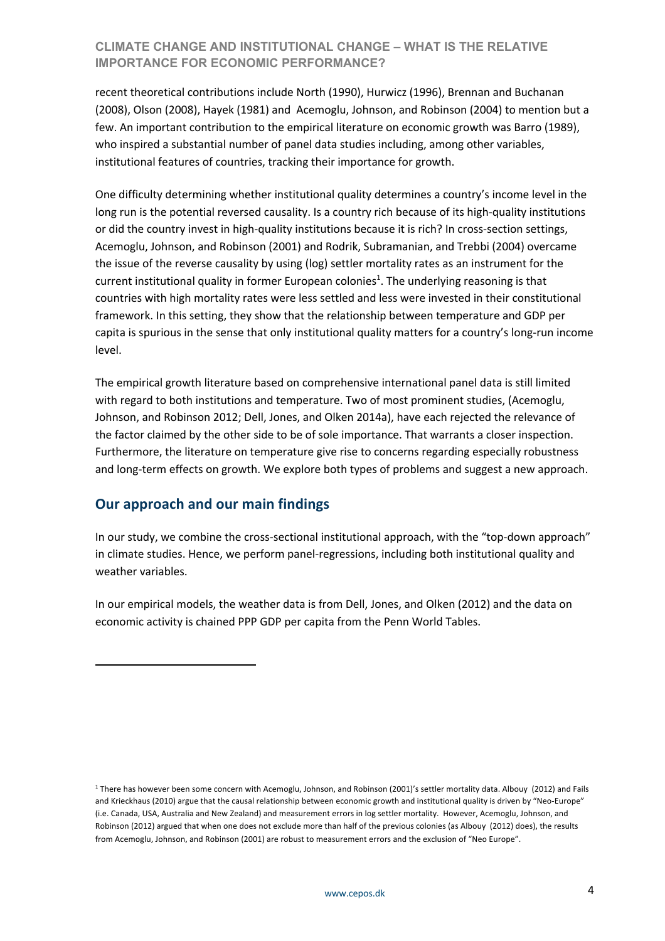recent theoretical contributions include North (1990), Hurwicz (1996), Brennan and Buchanan (2008), Olson (2008), Hayek (1981) and Acemoglu, Johnson, and Robinson (2004) to mention but a few. An important contribution to the empirical literature on economic growth was Barro (1989), who inspired a substantial number of panel data studies including, among other variables, institutional features of countries, tracking their importance for growth.

One difficulty determining whether institutional quality determines a country's income level in the long run is the potential reversed causality. Is a country rich because of its high-quality institutions or did the country invest in high-quality institutions because it is rich? In cross-section settings, Acemoglu, Johnson, and Robinson (2001) and Rodrik, Subramanian, and Trebbi (2004) overcame the issue of the reverse causality by using (log) settler mortality rates as an instrument for the current institutional quality in former European colonies<sup>1</sup>. The underlying reasoning is that countries with high mortality rates were less settled and less were invested in their constitutional framework. In this setting, they show that the relationship between temperature and GDP per capita is spurious in the sense that only institutional quality matters for a country's long-run income level.

The empirical growth literature based on comprehensive international panel data is still limited with regard to both institutions and temperature. Two of most prominent studies, (Acemoglu, Johnson, and Robinson 2012; Dell, Jones, and Olken 2014a), have each rejected the relevance of the factor claimed by the other side to be of sole importance. That warrants a closer inspection. Furthermore, the literature on temperature give rise to concerns regarding especially robustness and long-term effects on growth. We explore both types of problems and suggest a new approach.

# **Our approach and our main findings**

In our study, we combine the cross-sectional institutional approach, with the "top-down approach" in climate studies. Hence, we perform panel-regressions, including both institutional quality and weather variables.

In our empirical models, the weather data is from Dell, Jones, and Olken (2012) and the data on economic activity is chained PPP GDP per capita from the Penn World Tables.

<sup>&</sup>lt;sup>1</sup> There has however been some concern with Acemoglu, Johnson, and Robinson (2001)'s settler mortality data. Albouy (2012) and Fails and Krieckhaus (2010) argue that the causal relationship between economic growth and institutional quality is driven by "Neo-Europe" (i.e. Canada, USA, Australia and New Zealand) and measurement errors in log settler mortality. However, Acemoglu, Johnson, and Robinson (2012) argued that when one does not exclude more than half of the previous colonies (as Albouy (2012) does), the results from Acemoglu, Johnson, and Robinson (2001) are robust to measurement errors and the exclusion of "Neo Europe".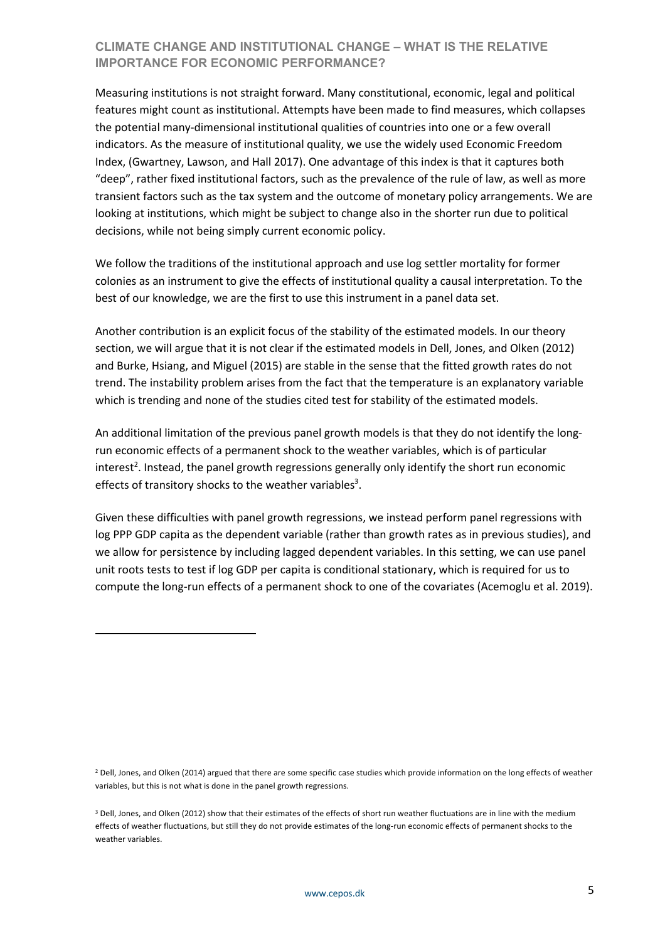Measuring institutions is not straight forward. Many constitutional, economic, legal and political features might count as institutional. Attempts have been made to find measures, which collapses the potential many-dimensional institutional qualities of countries into one or a few overall indicators. As the measure of institutional quality, we use the widely used Economic Freedom Index, (Gwartney, Lawson, and Hall 2017). One advantage of this index is that it captures both "deep", rather fixed institutional factors, such as the prevalence of the rule of law, as well as more transient factors such as the tax system and the outcome of monetary policy arrangements. We are looking at institutions, which might be subject to change also in the shorter run due to political decisions, while not being simply current economic policy.

We follow the traditions of the institutional approach and use log settler mortality for former colonies as an instrument to give the effects of institutional quality a causal interpretation. To the best of our knowledge, we are the first to use this instrument in a panel data set.

Another contribution is an explicit focus of the stability of the estimated models. In our theory section, we will argue that it is not clear if the estimated models in Dell, Jones, and Olken (2012) and Burke, Hsiang, and Miguel (2015) are stable in the sense that the fitted growth rates do not trend. The instability problem arises from the fact that the temperature is an explanatory variable which is trending and none of the studies cited test for stability of the estimated models.

An additional limitation of the previous panel growth models is that they do not identify the longrun economic effects of a permanent shock to the weather variables, which is of particular interest<sup>2</sup>. Instead, the panel growth regressions generally only identify the short run economic effects of transitory shocks to the weather variables<sup>3</sup>.

Given these difficulties with panel growth regressions, we instead perform panel regressions with log PPP GDP capita as the dependent variable (rather than growth rates as in previous studies), and we allow for persistence by including lagged dependent variables. In this setting, we can use panel unit roots tests to test if log GDP per capita is conditional stationary, which is required for us to compute the long-run effects of a permanent shock to one of the covariates (Acemoglu et al. 2019).

<sup>2</sup> Dell, Jones, and Olken (2014) argued that there are some specific case studies which provide information on the long effects of weather variables, but this is not what is done in the panel growth regressions.

<sup>3</sup> Dell, Jones, and Olken (2012) show that their estimates of the effects of short run weather fluctuations are in line with the medium effects of weather fluctuations, but still they do not provide estimates of the long-run economic effects of permanent shocks to the weather variables.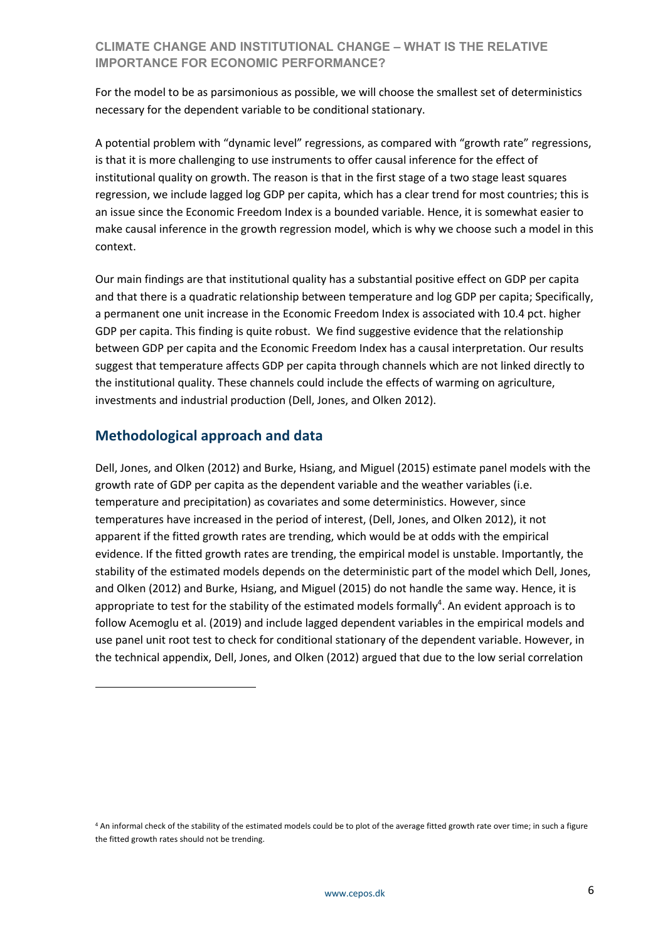For the model to be as parsimonious as possible, we will choose the smallest set of deterministics necessary for the dependent variable to be conditional stationary.

A potential problem with "dynamic level" regressions, as compared with "growth rate" regressions, is that it is more challenging to use instruments to offer causal inference for the effect of institutional quality on growth. The reason is that in the first stage of a two stage least squares regression, we include lagged log GDP per capita, which has a clear trend for most countries; this is an issue since the Economic Freedom Index is a bounded variable. Hence, it is somewhat easier to make causal inference in the growth regression model, which is why we choose such a model in this context.

Our main findings are that institutional quality has a substantial positive effect on GDP per capita and that there is a quadratic relationship between temperature and log GDP per capita; Specifically, a permanent one unit increase in the Economic Freedom Index is associated with 10.4 pct. higher GDP per capita. This finding is quite robust. We find suggestive evidence that the relationship between GDP per capita and the Economic Freedom Index has a causal interpretation. Our results suggest that temperature affects GDP per capita through channels which are not linked directly to the institutional quality. These channels could include the effects of warming on agriculture, investments and industrial production (Dell, Jones, and Olken 2012).

# **Methodological approach and data**

Dell, Jones, and Olken (2012) and Burke, Hsiang, and Miguel (2015) estimate panel models with the growth rate of GDP per capita as the dependent variable and the weather variables (i.e. temperature and precipitation) as covariates and some deterministics. However, since temperatures have increased in the period of interest, (Dell, Jones, and Olken 2012), it not apparent if the fitted growth rates are trending, which would be at odds with the empirical evidence. If the fitted growth rates are trending, the empirical model is unstable. Importantly, the stability of the estimated models depends on the deterministic part of the model which Dell, Jones, and Olken (2012) and Burke, Hsiang, and Miguel (2015) do not handle the same way. Hence, it is appropriate to test for the stability of the estimated models formally<sup>4</sup>. An evident approach is to follow Acemoglu et al. (2019) and include lagged dependent variables in the empirical models and use panel unit root test to check for conditional stationary of the dependent variable. However, in the technical appendix, Dell, Jones, and Olken (2012) argued that due to the low serial correlation

<sup>4</sup> An informal check of the stability of the estimated models could be to plot of the average fitted growth rate over time; in such a figure the fitted growth rates should not be trending.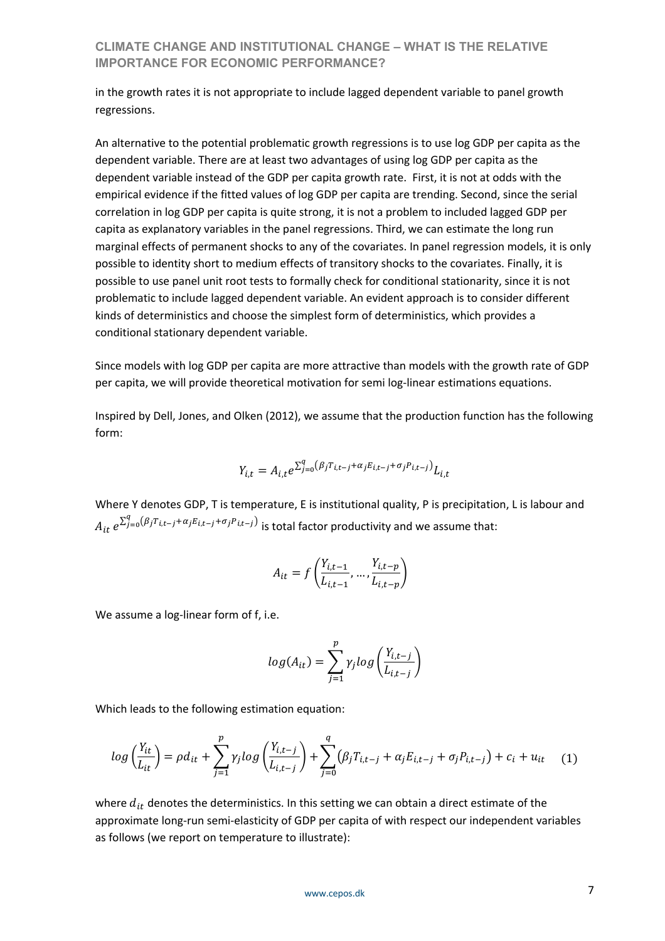in the growth rates it is not appropriate to include lagged dependent variable to panel growth regressions.

An alternative to the potential problematic growth regressions is to use log GDP per capita as the dependent variable. There are at least two advantages of using log GDP per capita as the dependent variable instead of the GDP per capita growth rate. First, it is not at odds with the empirical evidence if the fitted values of log GDP per capita are trending. Second, since the serial correlation in log GDP per capita is quite strong, it is not a problem to included lagged GDP per capita as explanatory variables in the panel regressions. Third, we can estimate the long run marginal effects of permanent shocks to any of the covariates. In panel regression models, it is only possible to identity short to medium effects of transitory shocks to the covariates. Finally, it is possible to use panel unit root tests to formally check for conditional stationarity, since it is not problematic to include lagged dependent variable. An evident approach is to consider different kinds of deterministics and choose the simplest form of deterministics, which provides a conditional stationary dependent variable.

Since models with log GDP per capita are more attractive than models with the growth rate of GDP per capita, we will provide theoretical motivation for semi log-linear estimations equations.

Inspired by Dell, Jones, and Olken (2012), we assume that the production function has the following form:

$$
Y_{i,t} = A_{i,t} e^{\sum_{j=0}^{q} (\beta_j T_{i,t-j} + \alpha_j E_{i,t-j} + \sigma_j P_{i,t-j})} L_{i,t}
$$

Where Y denotes GDP, T is temperature, E is institutional quality, P is precipitation, L is labour and  $A_{it} \; e^{\sum_{j=0}^q (\beta_j T_{i,t-j} + \alpha_j E_{i,t-j} + \sigma_j P_{i,t-j})}$  is total factor productivity and we assume that:

$$
A_{it} = f\left(\frac{Y_{i,t-1}}{L_{i,t-1}}, \dots, \frac{Y_{i,t-p}}{L_{i,t-p}}\right)
$$

We assume a log-linear form of f, i.e.

$$
log(A_{it}) = \sum_{j=1}^{p} \gamma_j log\left(\frac{Y_{i,t-j}}{L_{i,t-j}}\right)
$$

Which leads to the following estimation equation:

$$
log\left(\frac{Y_{it}}{L_{it}}\right) = \rho d_{it} + \sum_{j=1}^{p} \gamma_j log\left(\frac{Y_{i,t-j}}{L_{i,t-j}}\right) + \sum_{j=0}^{q} (\beta_j T_{i,t-j} + \alpha_j E_{i,t-j} + \sigma_j P_{i,t-j}) + c_i + u_{it} \tag{1}
$$

where  $d_{it}$  denotes the deterministics. In this setting we can obtain a direct estimate of the approximate long-run semi-elasticity of GDP per capita of with respect our independent variables as follows (we report on temperature to illustrate):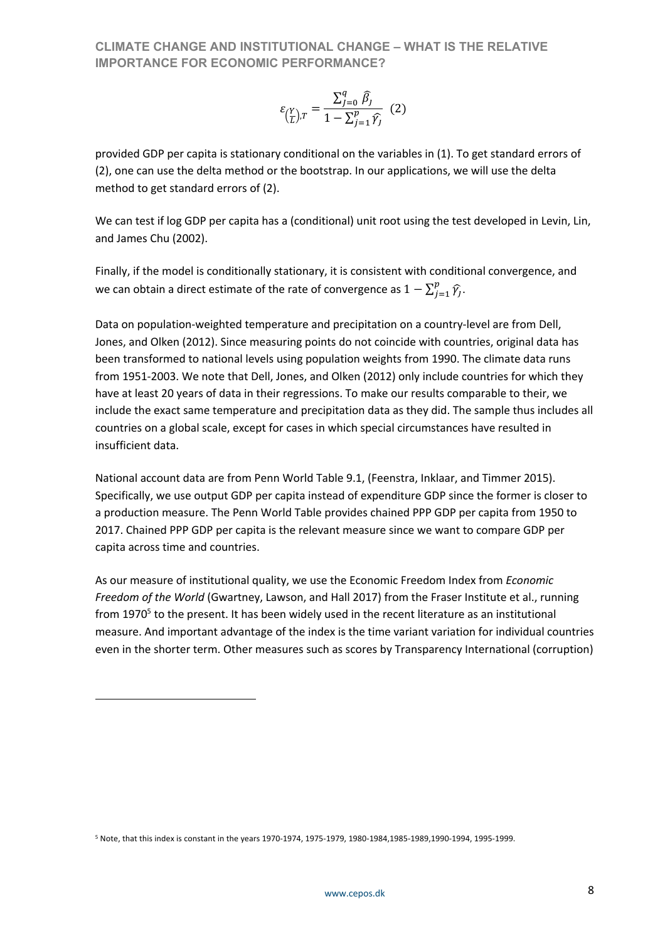$$
\varepsilon_{\left(\frac{Y}{L}\right),T} = \frac{\sum_{j=0}^{q} \widehat{\beta}_j}{1 - \sum_{j=1}^{p} \widehat{Y}_j} \tag{2}
$$

provided GDP per capita is stationary conditional on the variables in (1). To get standard errors of (2), one can use the delta method or the bootstrap. In our applications, we will use the delta method to get standard errors of (2).

We can test if log GDP per capita has a (conditional) unit root using the test developed in Levin, Lin, and James Chu (2002).

Finally, if the model is conditionally stationary, it is consistent with conditional convergence, and we can obtain a direct estimate of the rate of convergence as  $1-\sum_{j=1}^p \widehat{\gamma}_j.$ 

Data on population-weighted temperature and precipitation on a country-level are from Dell, Jones, and Olken (2012). Since measuring points do not coincide with countries, original data has been transformed to national levels using population weights from 1990. The climate data runs from 1951-2003. We note that Dell, Jones, and Olken (2012) only include countries for which they have at least 20 years of data in their regressions. To make our results comparable to their, we include the exact same temperature and precipitation data as they did. The sample thus includes all countries on a global scale, except for cases in which special circumstances have resulted in insufficient data.

National account data are from Penn World Table 9.1, (Feenstra, Inklaar, and Timmer 2015). Specifically, we use output GDP per capita instead of expenditure GDP since the former is closer to a production measure. The Penn World Table provides chained PPP GDP per capita from 1950 to 2017. Chained PPP GDP per capita is the relevant measure since we want to compare GDP per capita across time and countries.

As our measure of institutional quality, we use the Economic Freedom Index from *Economic Freedom of the World* (Gwartney, Lawson, and Hall 2017) from the Fraser Institute et al., running from 1970<sup>5</sup> to the present. It has been widely used in the recent literature as an institutional measure. And important advantage of the index is the time variant variation for individual countries even in the shorter term. Other measures such as scores by Transparency International (corruption)

<sup>5</sup> Note, that this index is constant in the years 1970-1974, 1975-1979, 1980-1984,1985-1989,1990-1994, 1995-1999.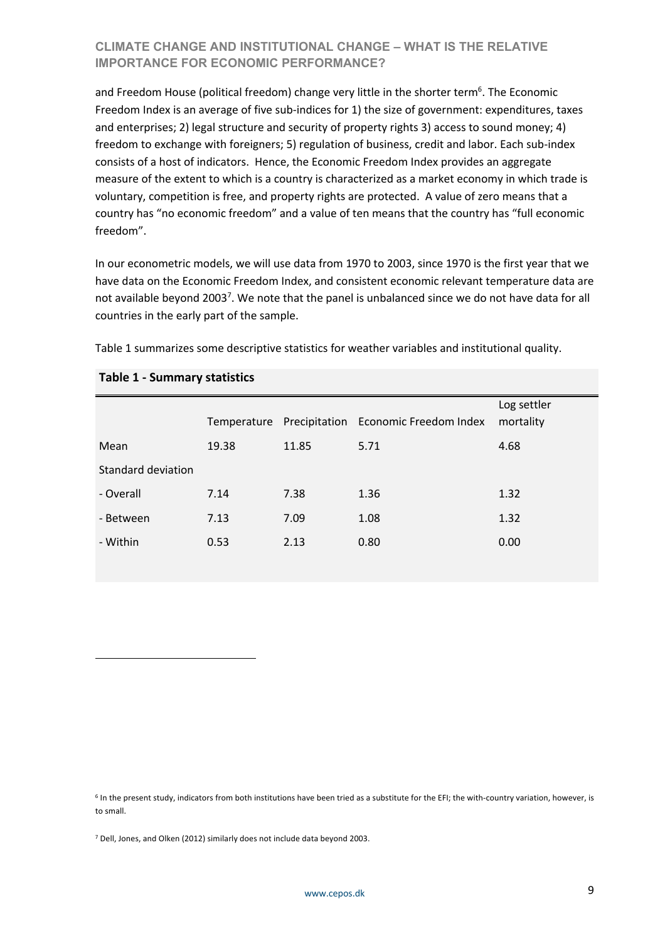and Freedom House (political freedom) change very little in the shorter term<sup>6</sup>. The Economic Freedom Index is an average of five sub-indices for 1) the size of government: expenditures, taxes and enterprises; 2) legal structure and security of property rights 3) access to sound money; 4) freedom to exchange with foreigners; 5) regulation of business, credit and labor. Each sub-index consists of a host of indicators. Hence, the Economic Freedom Index provides an aggregate measure of the extent to which is a country is characterized as a market economy in which trade is voluntary, competition is free, and property rights are protected. A value of zero means that a country has "no economic freedom" and a value of ten means that the country has "full economic freedom".

In our econometric models, we will use data from 1970 to 2003, since 1970 is the first year that we have data on the Economic Freedom Index, and consistent economic relevant temperature data are not available beyond 2003<sup>7</sup>. We note that the panel is unbalanced since we do not have data for all countries in the early part of the sample.

Table 1 summarizes some descriptive statistics for weather variables and institutional quality.

| —    ,             |       |       |                                                  |             |
|--------------------|-------|-------|--------------------------------------------------|-------------|
|                    |       |       |                                                  | Log settler |
|                    |       |       | Temperature Precipitation Economic Freedom Index | mortality   |
| Mean               | 19.38 | 11.85 | 5.71                                             | 4.68        |
| Standard deviation |       |       |                                                  |             |
| - Overall          | 7.14  | 7.38  | 1.36                                             | 1.32        |
| - Between          | 7.13  | 7.09  | 1.08                                             | 1.32        |
| - Within           | 0.53  | 2.13  | 0.80                                             | 0.00        |
|                    |       |       |                                                  |             |

#### **Table 1 - Summary statistics**

<sup>6</sup> In the present study, indicators from both institutions have been tried as a substitute for the EFI; the with-country variation, however, is to small.

<sup>7</sup> Dell, Jones, and Olken (2012) similarly does not include data beyond 2003.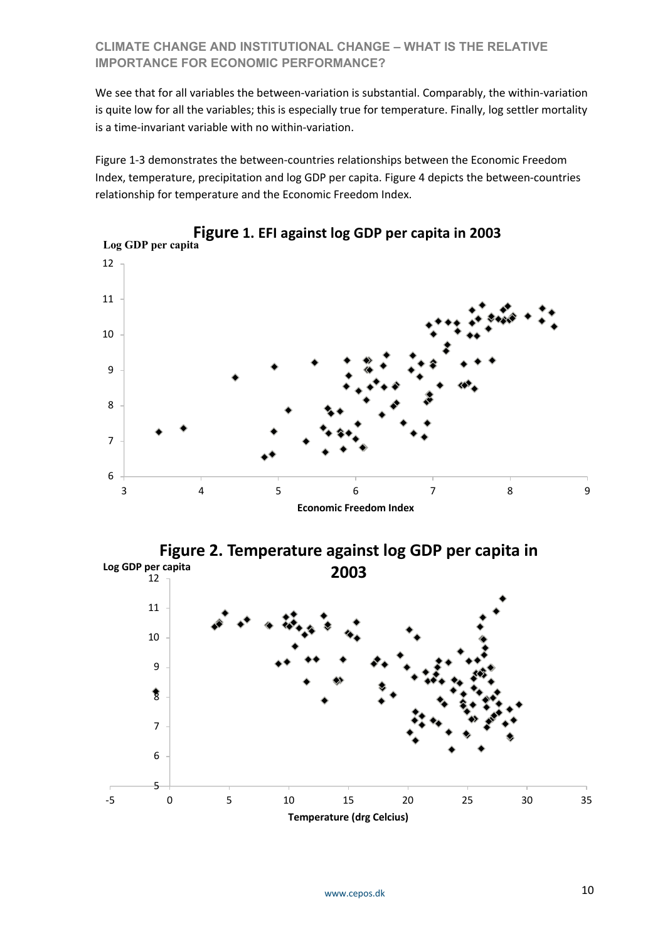We see that for all variables the between-variation is substantial. Comparably, the within-variation is quite low for all the variables; this is especially true for temperature. Finally, log settler mortality is a time-invariant variable with no within-variation.

Figure 1-3 demonstrates the between-countries relationships between the Economic Freedom Index, temperature, precipitation and log GDP per capita. Figure 4 depicts the between-countries relationship for temperature and the Economic Freedom Index.



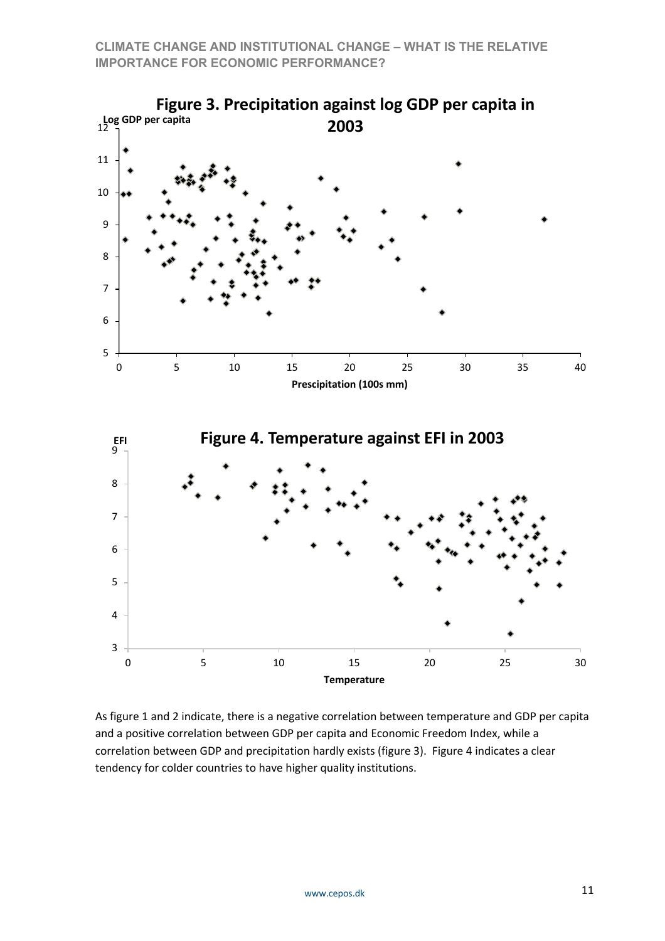

As figure 1 and 2 indicate, there is a negative correlation between temperature and GDP per capita and a positive correlation between GDP per capita and Economic Freedom Index, while a correlation between GDP and precipitation hardly exists (figure 3). Figure 4 indicates a clear tendency for colder countries to have higher quality institutions.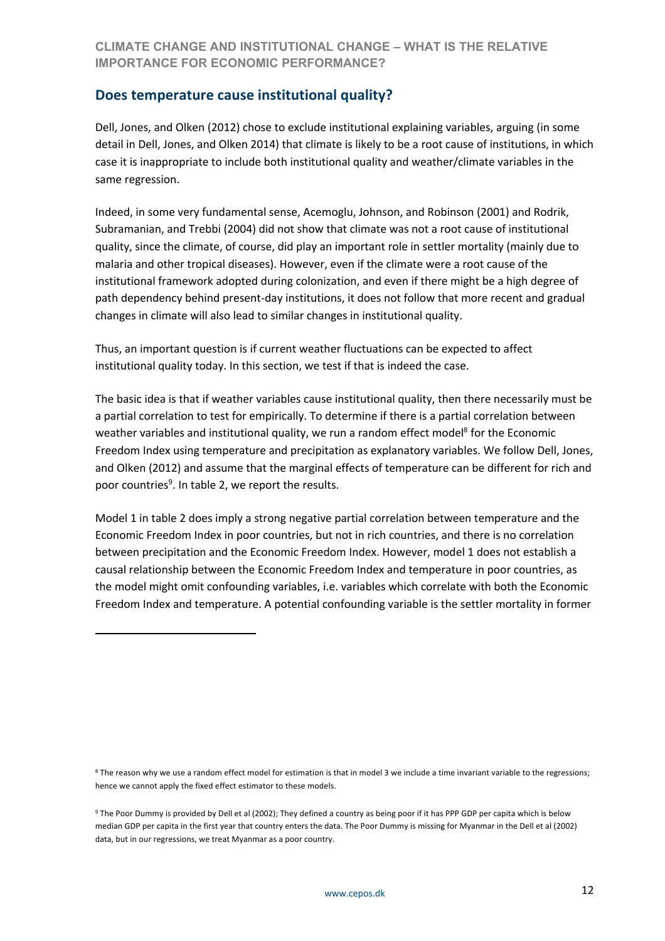# **Does temperature cause institutional quality?**

Dell, Jones, and Olken (2012) chose to exclude institutional explaining variables, arguing (in some detail in Dell, Jones, and Olken 2014) that climate is likely to be a root cause of institutions, in which case it is inappropriate to include both institutional quality and weather/climate variables in the same regression.

Indeed, in some very fundamental sense, Acemoglu, Johnson, and Robinson (2001) and Rodrik, Subramanian, and Trebbi (2004) did not show that climate was not a root cause of institutional quality, since the climate, of course, did play an important role in settler mortality (mainly due to malaria and other tropical diseases). However, even if the climate were a root cause of the institutional framework adopted during colonization, and even if there might be a high degree of path dependency behind present-day institutions, it does not follow that more recent and gradual changes in climate will also lead to similar changes in institutional quality.

Thus, an important question is if current weather fluctuations can be expected to affect institutional quality today. In this section, we test if that is indeed the case.

The basic idea is that if weather variables cause institutional quality, then there necessarily must be a partial correlation to test for empirically. To determine if there is a partial correlation between weather variables and institutional quality, we run a random effect model<sup>8</sup> for the Economic Freedom Index using temperature and precipitation as explanatory variables. We follow Dell, Jones, and Olken (2012) and assume that the marginal effects of temperature can be different for rich and poor countries<sup>9</sup>. In table 2, we report the results.

Model 1 in table 2 does imply a strong negative partial correlation between temperature and the Economic Freedom Index in poor countries, but not in rich countries, and there is no correlation between precipitation and the Economic Freedom Index. However, model 1 does not establish a causal relationship between the Economic Freedom Index and temperature in poor countries, as the model might omit confounding variables, i.e. variables which correlate with both the Economic Freedom Index and temperature. A potential confounding variable is the settler mortality in former

<sup>8</sup> The reason why we use a random effect model for estimation is that in model 3 we include a time invariant variable to the regressions; hence we cannot apply the fixed effect estimator to these models.

<sup>9</sup> The Poor Dummy is provided by Dell et al (2002); They defined a country as being poor if it has PPP GDP per capita which is below median GDP per capita in the first year that country enters the data. The Poor Dummy is missing for Myanmar in the Dell et al (2002) data, but in our regressions, we treat Myanmar as a poor country.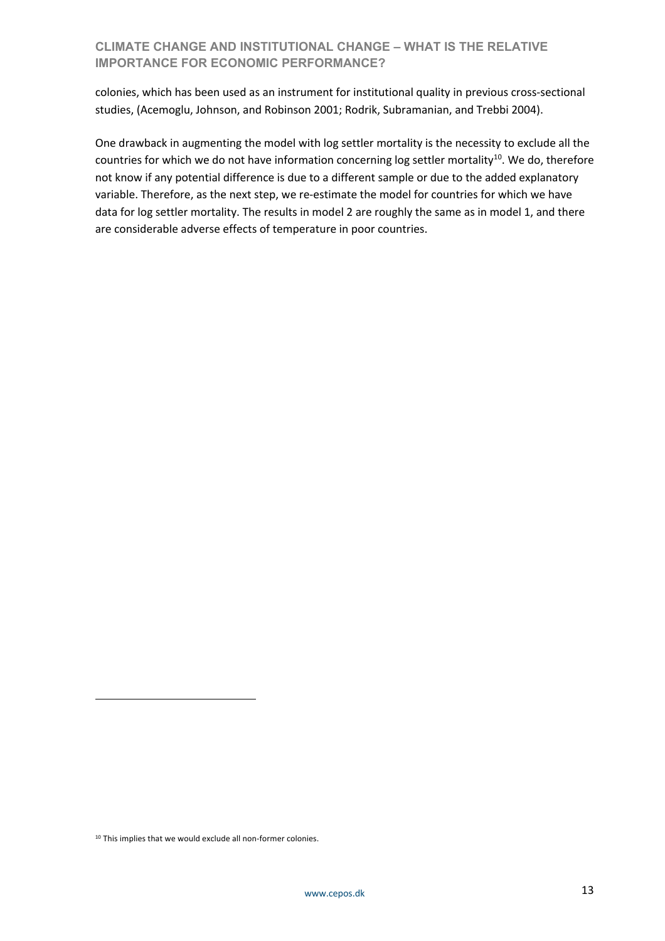colonies, which has been used as an instrument for institutional quality in previous cross-sectional studies, (Acemoglu, Johnson, and Robinson 2001; Rodrik, Subramanian, and Trebbi 2004).

One drawback in augmenting the model with log settler mortality is the necessity to exclude all the countries for which we do not have information concerning log settler mortality<sup>10</sup>. We do, therefore not know if any potential difference is due to a different sample or due to the added explanatory variable. Therefore, as the next step, we re-estimate the model for countries for which we have data for log settler mortality. The results in model 2 are roughly the same as in model 1, and there are considerable adverse effects of temperature in poor countries.

<sup>&</sup>lt;sup>10</sup> This implies that we would exclude all non-former colonies.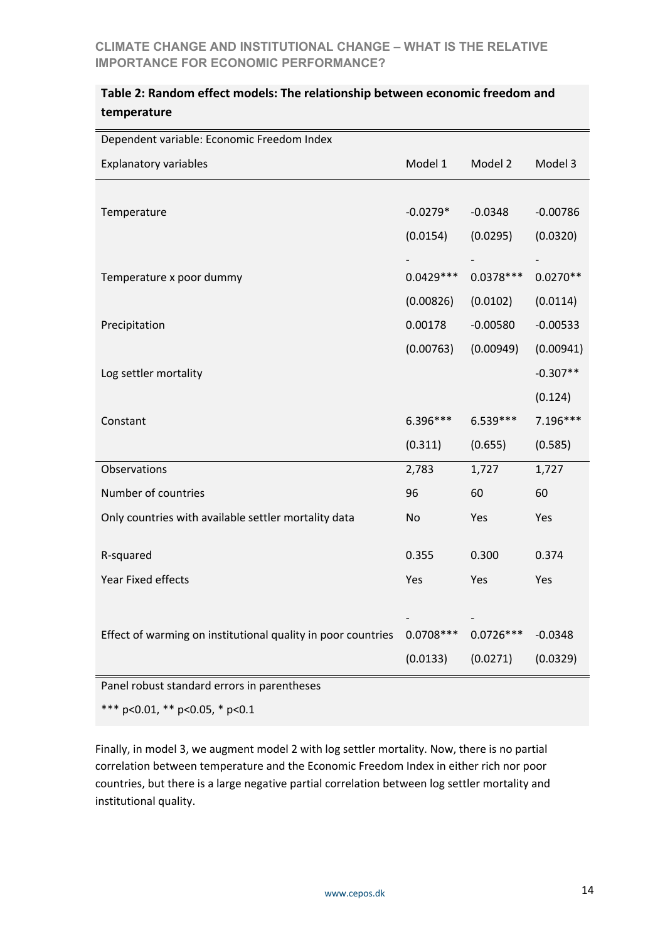| ι <del>σπηροπαται σ</del>                                    |             |             |            |
|--------------------------------------------------------------|-------------|-------------|------------|
| Dependent variable: Economic Freedom Index                   |             |             |            |
| <b>Explanatory variables</b>                                 | Model 1     | Model 2     | Model 3    |
|                                                              |             |             |            |
| Temperature                                                  | $-0.0279*$  | $-0.0348$   | $-0.00786$ |
|                                                              | (0.0154)    | (0.0295)    | (0.0320)   |
|                                                              |             |             |            |
| Temperature x poor dummy                                     | $0.0429***$ | $0.0378***$ | $0.0270**$ |
|                                                              | (0.00826)   | (0.0102)    | (0.0114)   |
| Precipitation                                                | 0.00178     | $-0.00580$  | $-0.00533$ |
|                                                              | (0.00763)   | (0.00949)   | (0.00941)  |
| Log settler mortality                                        |             |             | $-0.307**$ |
|                                                              |             |             | (0.124)    |
| Constant                                                     | 6.396***    | 6.539***    | 7.196***   |
|                                                              | (0.311)     | (0.655)     | (0.585)    |
| Observations                                                 | 2,783       | 1,727       | 1,727      |
| Number of countries                                          | 96          | 60          | 60         |
| Only countries with available settler mortality data         | No          | Yes         | Yes        |
|                                                              |             |             |            |
| R-squared                                                    | 0.355       | 0.300       | 0.374      |
| Year Fixed effects                                           | Yes         | Yes         | Yes        |
|                                                              |             |             |            |
| Effect of warming on institutional quality in poor countries | $0.0708***$ | $0.0726***$ | $-0.0348$  |
|                                                              | (0.0133)    | (0.0271)    | (0.0329)   |
|                                                              |             |             |            |

## **Table 2: Random effect models: The relationship between economic freedom and temperature**

Panel robust standard errors in parentheses

\*\*\* p<0.01, \*\* p<0.05, \* p<0.1

Finally, in model 3, we augment model 2 with log settler mortality. Now, there is no partial correlation between temperature and the Economic Freedom Index in either rich nor poor countries, but there is a large negative partial correlation between log settler mortality and institutional quality.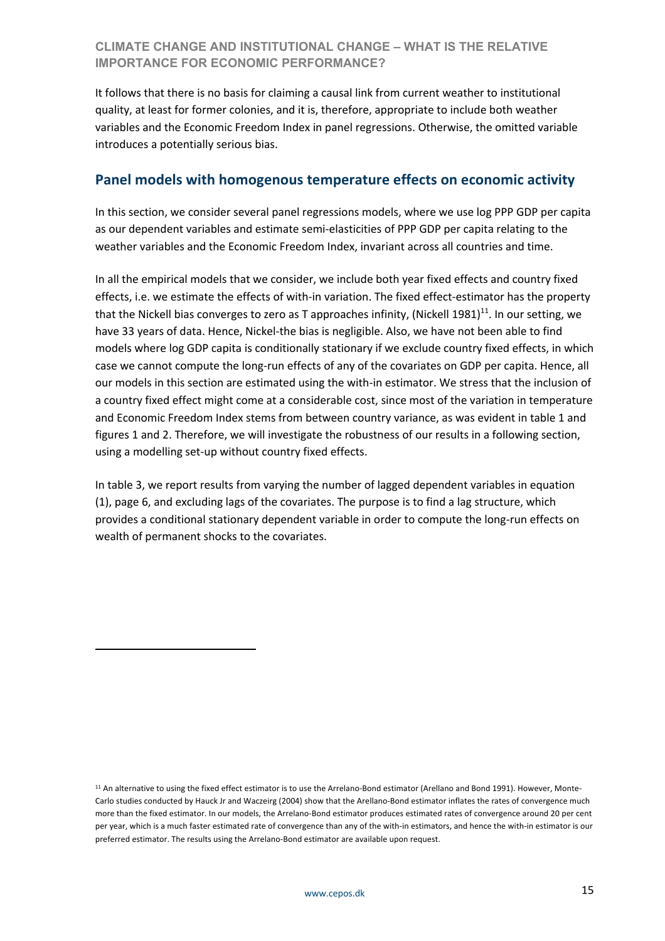It follows that there is no basis for claiming a causal link from current weather to institutional quality, at least for former colonies, and it is, therefore, appropriate to include both weather variables and the Economic Freedom Index in panel regressions. Otherwise, the omitted variable introduces a potentially serious bias.

# **Panel models with homogenous temperature effects on economic activity**

In this section, we consider several panel regressions models, where we use log PPP GDP per capita as our dependent variables and estimate semi-elasticities of PPP GDP per capita relating to the weather variables and the Economic Freedom Index, invariant across all countries and time.

In all the empirical models that we consider, we include both year fixed effects and country fixed effects, i.e. we estimate the effects of with-in variation. The fixed effect-estimator has the property that the Nickell bias converges to zero as T approaches infinity, (Nickell 1981)<sup>11</sup>. In our setting, we have 33 years of data. Hence, Nickel-the bias is negligible. Also, we have not been able to find models where log GDP capita is conditionally stationary if we exclude country fixed effects, in which case we cannot compute the long-run effects of any of the covariates on GDP per capita. Hence, all our models in this section are estimated using the with-in estimator. We stress that the inclusion of a country fixed effect might come at a considerable cost, since most of the variation in temperature and Economic Freedom Index stems from between country variance, as was evident in table 1 and figures 1 and 2. Therefore, we will investigate the robustness of our results in a following section, using a modelling set-up without country fixed effects.

In table 3, we report results from varying the number of lagged dependent variables in equation (1), page 6, and excluding lags of the covariates. The purpose is to find a lag structure, which provides a conditional stationary dependent variable in order to compute the long-run effects on wealth of permanent shocks to the covariates.

<sup>&</sup>lt;sup>11</sup> An alternative to using the fixed effect estimator is to use the Arrelano-Bond estimator (Arellano and Bond 1991). However, Monte-Carlo studies conducted by Hauck Jr and Waczeirg (2004) show that the Arellano-Bond estimator inflates the rates of convergence much more than the fixed estimator. In our models, the Arrelano-Bond estimator produces estimated rates of convergence around 20 per cent per year, which is a much faster estimated rate of convergence than any of the with-in estimators, and hence the with-in estimator is our preferred estimator. The results using the Arrelano-Bond estimator are available upon request.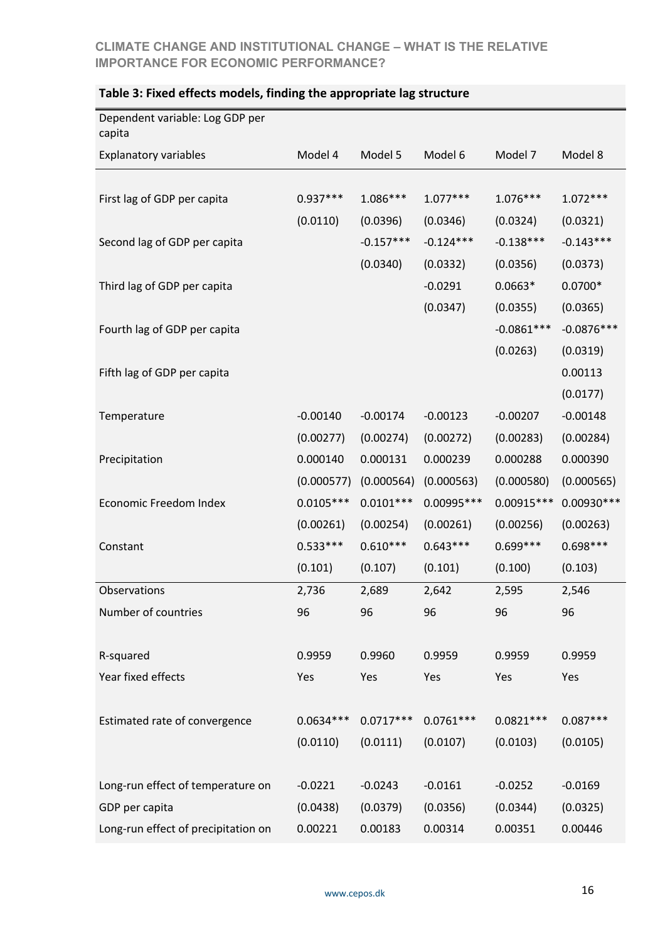| Dependent variable: Log GDP per<br>capita |             |             |             |              |              |
|-------------------------------------------|-------------|-------------|-------------|--------------|--------------|
| <b>Explanatory variables</b>              | Model 4     | Model 5     | Model 6     | Model 7      | Model 8      |
|                                           |             |             |             |              |              |
| First lag of GDP per capita               | $0.937***$  | 1.086***    | $1.077***$  | $1.076***$   | $1.072***$   |
|                                           | (0.0110)    | (0.0396)    | (0.0346)    | (0.0324)     | (0.0321)     |
| Second lag of GDP per capita              |             | $-0.157***$ | $-0.124***$ | $-0.138***$  | $-0.143***$  |
|                                           |             | (0.0340)    | (0.0332)    | (0.0356)     | (0.0373)     |
| Third lag of GDP per capita               |             |             | $-0.0291$   | $0.0663*$    | $0.0700*$    |
|                                           |             |             | (0.0347)    | (0.0355)     | (0.0365)     |
| Fourth lag of GDP per capita              |             |             |             | $-0.0861***$ | $-0.0876***$ |
|                                           |             |             |             | (0.0263)     | (0.0319)     |
| Fifth lag of GDP per capita               |             |             |             |              | 0.00113      |
|                                           |             |             |             |              | (0.0177)     |
| Temperature                               | $-0.00140$  | $-0.00174$  | $-0.00123$  | $-0.00207$   | $-0.00148$   |
|                                           | (0.00277)   | (0.00274)   | (0.00272)   | (0.00283)    | (0.00284)    |
| Precipitation                             | 0.000140    | 0.000131    | 0.000239    | 0.000288     | 0.000390     |
|                                           | (0.000577)  | (0.000564)  | (0.000563)  | (0.000580)   | (0.000565)   |
| Economic Freedom Index                    | $0.0105***$ | $0.0101***$ | 0.00995 *** | $0.00915***$ | 0.00930 ***  |
|                                           | (0.00261)   | (0.00254)   | (0.00261)   | (0.00256)    | (0.00263)    |
| Constant                                  | $0.533***$  | $0.610***$  | $0.643***$  | $0.699***$   | $0.698***$   |
|                                           | (0.101)     | (0.107)     | (0.101)     | (0.100)      | (0.103)      |
| Observations                              | 2,736       | 2,689       | 2,642       | 2,595        | 2,546        |
| Number of countries                       | 96          | 96          | 96          | 96           | 96           |
|                                           |             |             |             |              |              |
| R-squared                                 | 0.9959      | 0.9960      | 0.9959      | 0.9959       | 0.9959       |
| Year fixed effects                        | Yes         | Yes         | Yes         | Yes          | Yes          |
|                                           |             |             |             |              |              |
| Estimated rate of convergence             | $0.0634***$ | $0.0717***$ | $0.0761***$ | $0.0821***$  | $0.087***$   |
|                                           | (0.0110)    | (0.0111)    | (0.0107)    | (0.0103)     | (0.0105)     |
|                                           |             |             |             |              |              |
| Long-run effect of temperature on         | $-0.0221$   | $-0.0243$   | $-0.0161$   | $-0.0252$    | $-0.0169$    |
| GDP per capita                            | (0.0438)    | (0.0379)    | (0.0356)    | (0.0344)     | (0.0325)     |
| Long-run effect of precipitation on       | 0.00221     | 0.00183     | 0.00314     | 0.00351      | 0.00446      |

# **Table 3: Fixed effects models, finding the appropriate lag structure**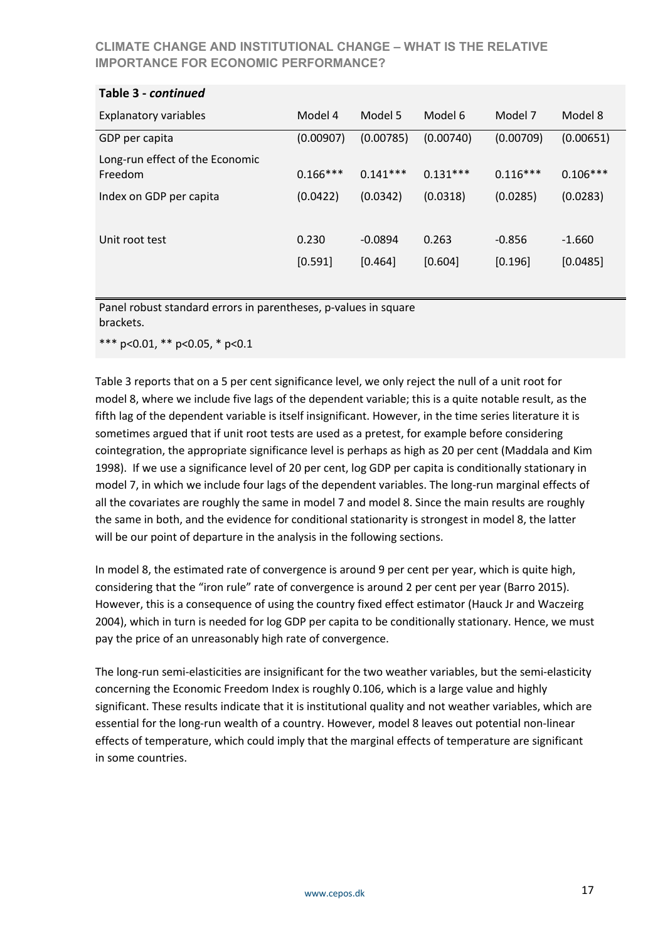| Table 3 - <i>continued</i>                 |            |            |            |            |            |
|--------------------------------------------|------------|------------|------------|------------|------------|
| <b>Explanatory variables</b>               | Model 4    | Model 5    | Model 6    | Model 7    | Model 8    |
| GDP per capita                             | (0.00907)  | (0.00785)  | (0.00740)  | (0.00709)  | (0.00651)  |
| Long-run effect of the Economic<br>Freedom | $0.166***$ | $0.141***$ | $0.131***$ | $0.116***$ | $0.106***$ |
| Index on GDP per capita                    | (0.0422)   | (0.0342)   | (0.0318)   | (0.0285)   | (0.0283)   |
|                                            |            |            |            |            |            |
| Unit root test                             | 0.230      | $-0.0894$  | 0.263      | $-0.856$   | $-1.660$   |
|                                            |            |            |            |            |            |
|                                            | [0.591]    | [0.464]    | [0.604]    | [0.196]    | [0.0485]   |
|                                            |            |            |            |            |            |

Panel robust standard errors in parentheses, p-values in square brackets.

\*\*\* p<0.01, \*\* p<0.05, \* p<0.1

**Table 3 -** *continued*

Table 3 reports that on a 5 per cent significance level, we only reject the null of a unit root for model 8, where we include five lags of the dependent variable; this is a quite notable result, as the fifth lag of the dependent variable is itself insignificant. However, in the time series literature it is sometimes argued that if unit root tests are used as a pretest, for example before considering cointegration, the appropriate significance level is perhaps as high as 20 per cent (Maddala and Kim 1998). If we use a significance level of 20 per cent, log GDP per capita is conditionally stationary in model 7, in which we include four lags of the dependent variables. The long-run marginal effects of all the covariates are roughly the same in model 7 and model 8. Since the main results are roughly the same in both, and the evidence for conditional stationarity is strongest in model 8, the latter will be our point of departure in the analysis in the following sections.

In model 8, the estimated rate of convergence is around 9 per cent per year, which is quite high, considering that the "iron rule" rate of convergence is around 2 per cent per year (Barro 2015). However, this is a consequence of using the country fixed effect estimator (Hauck Jr and Waczeirg 2004), which in turn is needed for log GDP per capita to be conditionally stationary. Hence, we must pay the price of an unreasonably high rate of convergence.

The long-run semi-elasticities are insignificant for the two weather variables, but the semi-elasticity concerning the Economic Freedom Index is roughly 0.106, which is a large value and highly significant. These results indicate that it is institutional quality and not weather variables, which are essential for the long-run wealth of a country. However, model 8 leaves out potential non-linear effects of temperature, which could imply that the marginal effects of temperature are significant in some countries.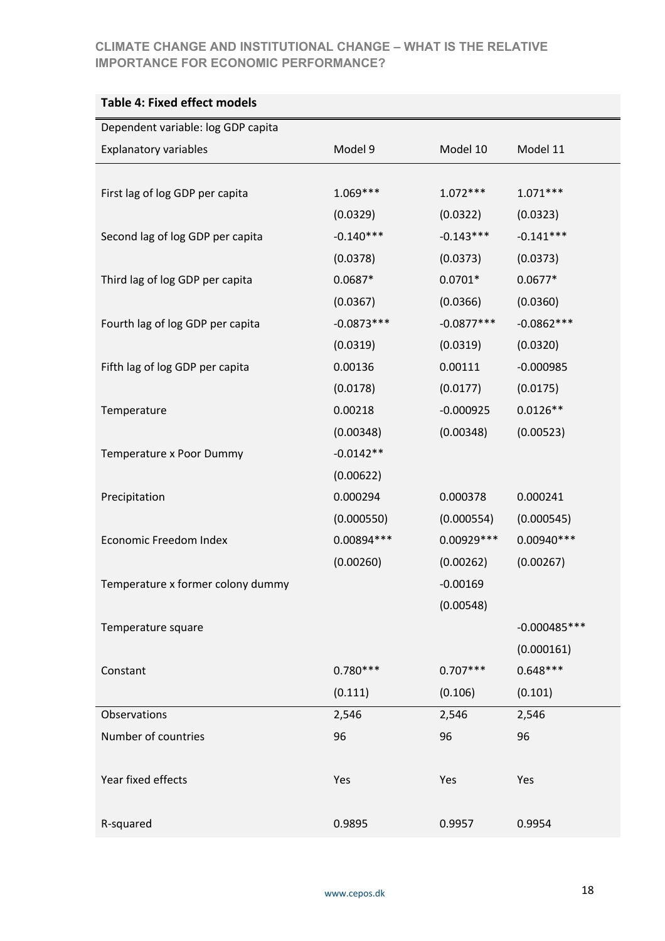| Table 4: Fixed effect models       |              |              |                |
|------------------------------------|--------------|--------------|----------------|
| Dependent variable: log GDP capita |              |              |                |
| Explanatory variables              | Model 9      | Model 10     | Model 11       |
|                                    |              |              |                |
| First lag of log GDP per capita    | $1.069***$   | $1.072***$   | $1.071***$     |
|                                    | (0.0329)     | (0.0322)     | (0.0323)       |
| Second lag of log GDP per capita   | $-0.140***$  | $-0.143***$  | $-0.141***$    |
|                                    | (0.0378)     | (0.0373)     | (0.0373)       |
| Third lag of log GDP per capita    | $0.0687*$    | $0.0701*$    | $0.0677*$      |
|                                    | (0.0367)     | (0.0366)     | (0.0360)       |
| Fourth lag of log GDP per capita   | $-0.0873***$ | $-0.0877***$ | $-0.0862***$   |
|                                    | (0.0319)     | (0.0319)     | (0.0320)       |
| Fifth lag of log GDP per capita    | 0.00136      | 0.00111      | $-0.000985$    |
|                                    | (0.0178)     | (0.0177)     | (0.0175)       |
| Temperature                        | 0.00218      | $-0.000925$  | $0.0126**$     |
|                                    | (0.00348)    | (0.00348)    | (0.00523)      |
| Temperature x Poor Dummy           | $-0.0142**$  |              |                |
|                                    | (0.00622)    |              |                |
| Precipitation                      | 0.000294     | 0.000378     | 0.000241       |
|                                    | (0.000550)   | (0.000554)   | (0.000545)     |
| Economic Freedom Index             | 0.00894 ***  | 0.00929 ***  | $0.00940***$   |
|                                    | (0.00260)    | (0.00262)    | (0.00267)      |
| Temperature x former colony dummy  |              | $-0.00169$   |                |
|                                    |              | (0.00548)    |                |
| Temperature square                 |              |              | $-0.000485***$ |
|                                    |              |              | (0.000161)     |
| Constant                           | $0.780***$   | $0.707***$   | $0.648***$     |
|                                    | (0.111)      | (0.106)      | (0.101)        |
| Observations                       | 2,546        | 2,546        | 2,546          |
| Number of countries                | 96           | 96           | 96             |
|                                    |              |              |                |
| Year fixed effects                 | Yes          | Yes          | Yes            |
|                                    |              |              |                |
| R-squared                          | 0.9895       | 0.9957       | 0.9954         |

# **Table 4: Fixed effect models**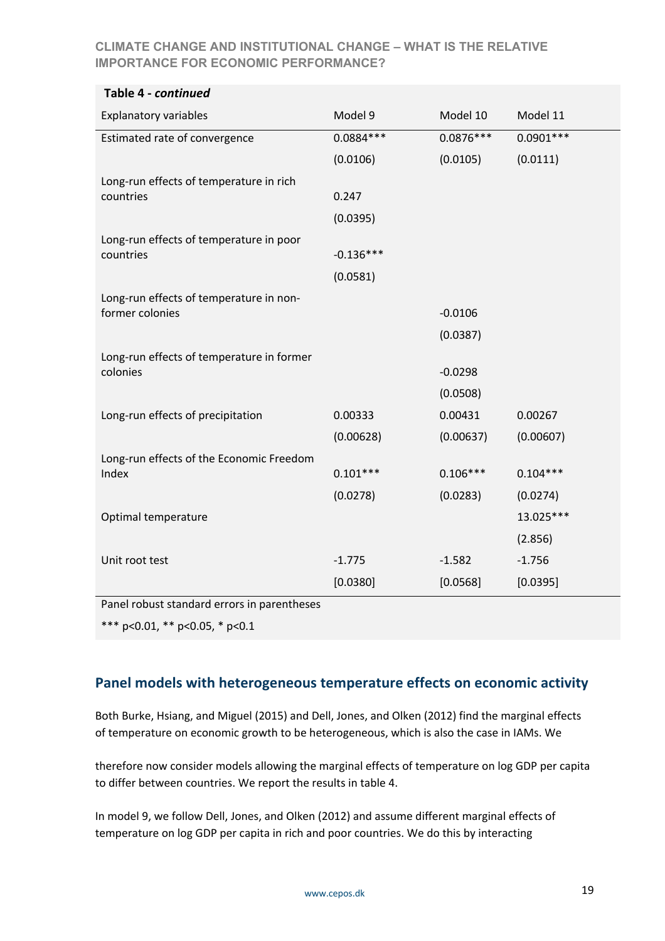| Table 4 - continued                                        |             |             |             |
|------------------------------------------------------------|-------------|-------------|-------------|
| <b>Explanatory variables</b>                               | Model 9     | Model 10    | Model 11    |
| Estimated rate of convergence                              | 0.0884 ***  | $0.0876***$ | $0.0901***$ |
|                                                            | (0.0106)    | (0.0105)    | (0.0111)    |
| Long-run effects of temperature in rich                    |             |             |             |
| countries                                                  | 0.247       |             |             |
|                                                            | (0.0395)    |             |             |
| Long-run effects of temperature in poor                    |             |             |             |
| countries                                                  | $-0.136***$ |             |             |
|                                                            | (0.0581)    |             |             |
| Long-run effects of temperature in non-<br>former colonies |             | $-0.0106$   |             |
|                                                            |             | (0.0387)    |             |
| Long-run effects of temperature in former                  |             |             |             |
| colonies                                                   |             | $-0.0298$   |             |
|                                                            |             | (0.0508)    |             |
| Long-run effects of precipitation                          | 0.00333     | 0.00431     | 0.00267     |
|                                                            | (0.00628)   | (0.00637)   | (0.00607)   |
| Long-run effects of the Economic Freedom                   |             |             |             |
| Index                                                      | $0.101***$  | $0.106***$  | $0.104***$  |
|                                                            | (0.0278)    | (0.0283)    | (0.0274)    |
| Optimal temperature                                        |             |             | 13.025***   |
|                                                            |             |             | (2.856)     |
| Unit root test                                             | $-1.775$    | $-1.582$    | $-1.756$    |
|                                                            | [0.0380]    | [0.0568]    | [0.0395]    |
| Panel robust standard errors in parentheses                |             |             |             |

\*\*\* p<0.01, \*\* p<0.05, \* p<0.1

# **Panel models with heterogeneous temperature effects on economic activity**

Both Burke, Hsiang, and Miguel (2015) and Dell, Jones, and Olken (2012) find the marginal effects of temperature on economic growth to be heterogeneous, which is also the case in IAMs. We

therefore now consider models allowing the marginal effects of temperature on log GDP per capita to differ between countries. We report the results in table 4.

In model 9, we follow Dell, Jones, and Olken (2012) and assume different marginal effects of temperature on log GDP per capita in rich and poor countries. We do this by interacting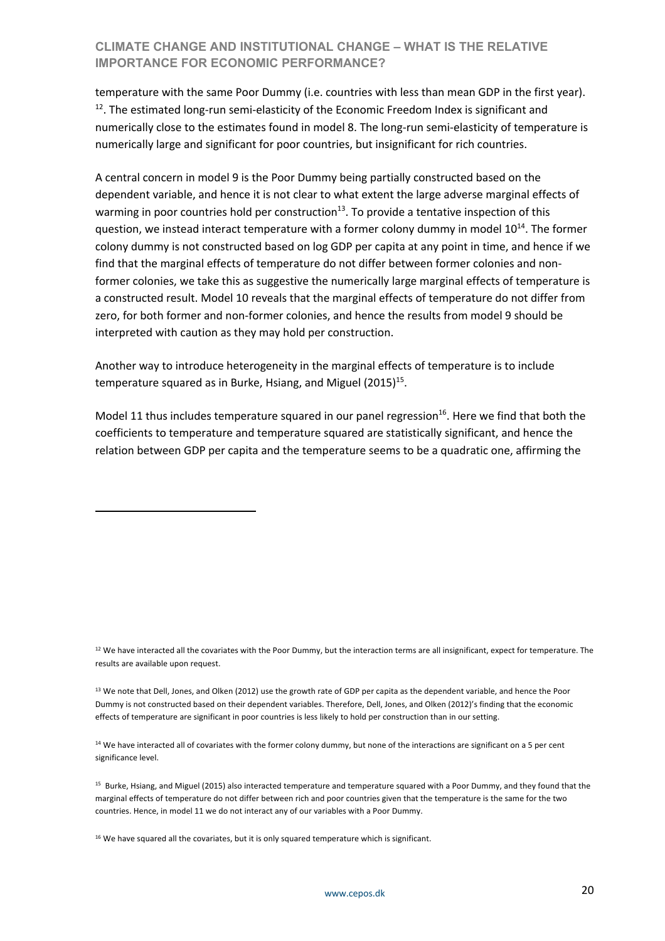temperature with the same Poor Dummy (i.e. countries with less than mean GDP in the first year).  $12$ . The estimated long-run semi-elasticity of the Economic Freedom Index is significant and numerically close to the estimates found in model 8. The long-run semi-elasticity of temperature is numerically large and significant for poor countries, but insignificant for rich countries.

A central concern in model 9 is the Poor Dummy being partially constructed based on the dependent variable, and hence it is not clear to what extent the large adverse marginal effects of warming in poor countries hold per construction<sup>13</sup>. To provide a tentative inspection of this question, we instead interact temperature with a former colony dummy in model  $10^{14}$ . The former colony dummy is not constructed based on log GDP per capita at any point in time, and hence if we find that the marginal effects of temperature do not differ between former colonies and nonformer colonies, we take this as suggestive the numerically large marginal effects of temperature is a constructed result. Model 10 reveals that the marginal effects of temperature do not differ from zero, for both former and non-former colonies, and hence the results from model 9 should be interpreted with caution as they may hold per construction.

Another way to introduce heterogeneity in the marginal effects of temperature is to include temperature squared as in Burke, Hsiang, and Miguel  $(2015)^{15}$ .

Model 11 thus includes temperature squared in our panel regression<sup>16</sup>. Here we find that both the coefficients to temperature and temperature squared are statistically significant, and hence the relation between GDP per capita and the temperature seems to be a quadratic one, affirming the

<sup>12</sup> We have interacted all the covariates with the Poor Dummy, but the interaction terms are all insignificant, expect for temperature. The results are available upon request.

<sup>13</sup> We note that Dell, Jones, and Olken (2012) use the growth rate of GDP per capita as the dependent variable, and hence the Poor Dummy is not constructed based on their dependent variables. Therefore, Dell, Jones, and Olken (2012)'s finding that the economic effects of temperature are significant in poor countries is less likely to hold per construction than in our setting.

 $14$  We have interacted all of covariates with the former colony dummy, but none of the interactions are significant on a 5 per cent significance level.

<sup>15</sup> Burke, Hsiang, and Miguel (2015) also interacted temperature and temperature squared with a Poor Dummy, and they found that the marginal effects of temperature do not differ between rich and poor countries given that the temperature is the same for the two countries. Hence, in model 11 we do not interact any of our variables with a Poor Dummy.

 $16$  We have squared all the covariates, but it is only squared temperature which is significant.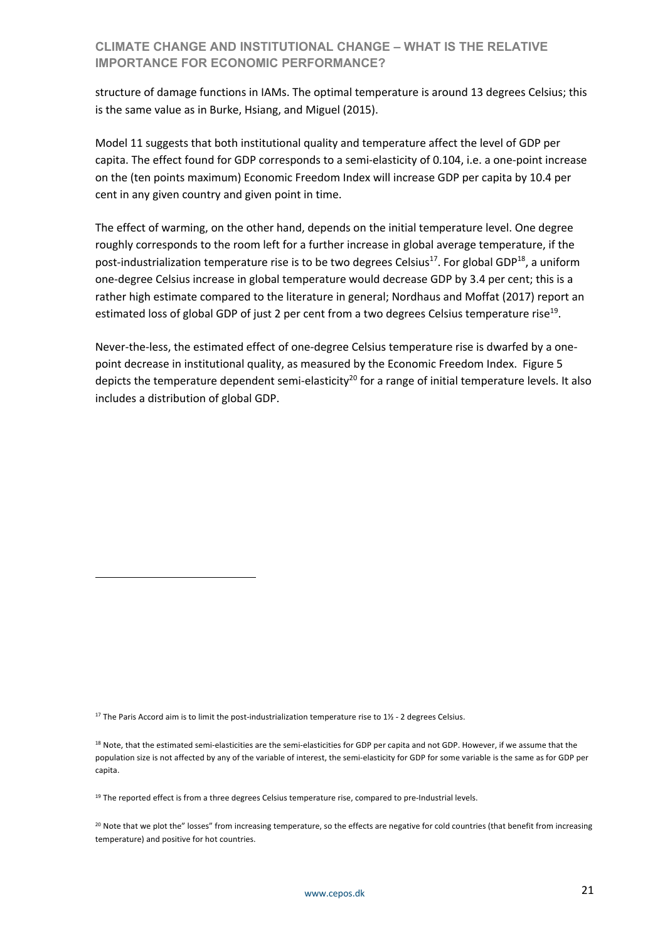structure of damage functions in IAMs. The optimal temperature is around 13 degrees Celsius; this is the same value as in Burke, Hsiang, and Miguel (2015).

Model 11 suggests that both institutional quality and temperature affect the level of GDP per capita. The effect found for GDP corresponds to a semi-elasticity of 0.104, i.e. a one-point increase on the (ten points maximum) Economic Freedom Index will increase GDP per capita by 10.4 per cent in any given country and given point in time.

The effect of warming, on the other hand, depends on the initial temperature level. One degree roughly corresponds to the room left for a further increase in global average temperature, if the post-industrialization temperature rise is to be two degrees Celsius<sup>17</sup>. For global GDP<sup>18</sup>, a uniform one-degree Celsius increase in global temperature would decrease GDP by 3.4 per cent; this is a rather high estimate compared to the literature in general; Nordhaus and Moffat (2017) report an estimated loss of global GDP of just 2 per cent from a two degrees Celsius temperature rise<sup>19</sup>.

Never-the-less, the estimated effect of one-degree Celsius temperature rise is dwarfed by a onepoint decrease in institutional quality, as measured by the Economic Freedom Index. Figure 5 depicts the temperature dependent semi-elasticity<sup>20</sup> for a range of initial temperature levels. It also includes a distribution of global GDP.

<sup>17</sup> The Paris Accord aim is to limit the post-industrialization temperature rise to  $1\frac{1}{2}$  - 2 degrees Celsius.

<sup>19</sup> The reported effect is from a three degrees Celsius temperature rise, compared to pre-Industrial levels.

<sup>20</sup> Note that we plot the" losses" from increasing temperature, so the effects are negative for cold countries (that benefit from increasing temperature) and positive for hot countries.

<sup>&</sup>lt;sup>18</sup> Note, that the estimated semi-elasticities are the semi-elasticities for GDP per capita and not GDP. However, if we assume that the population size is not affected by any of the variable of interest, the semi-elasticity for GDP for some variable is the same as for GDP per capita.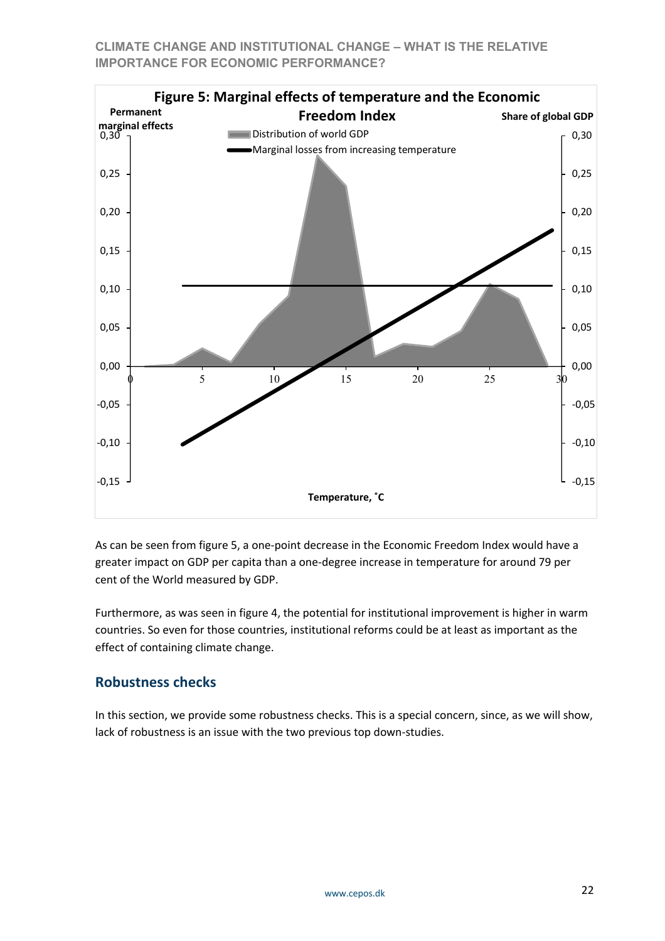

As can be seen from figure 5, a one-point decrease in the Economic Freedom Index would have a greater impact on GDP per capita than a one-degree increase in temperature for around 79 per cent of the World measured by GDP.

Furthermore, as was seen in figure 4, the potential for institutional improvement is higher in warm countries. So even for those countries, institutional reforms could be at least as important as the effect of containing climate change.

# **Robustness checks**

In this section, we provide some robustness checks. This is a special concern, since, as we will show, lack of robustness is an issue with the two previous top down-studies.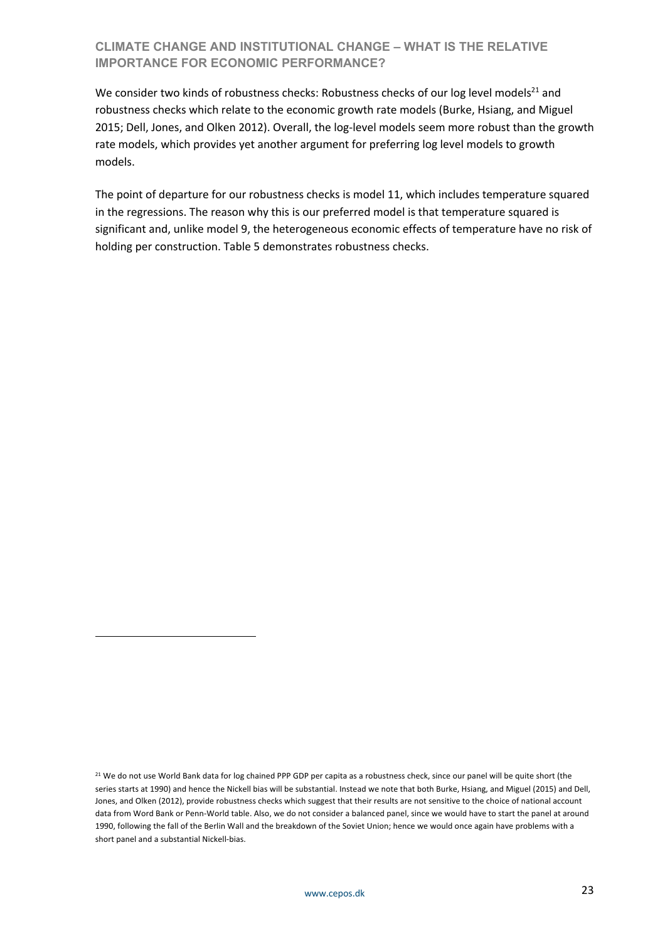We consider two kinds of robustness checks: Robustness checks of our log level models<sup>21</sup> and robustness checks which relate to the economic growth rate models (Burke, Hsiang, and Miguel 2015; Dell, Jones, and Olken 2012). Overall, the log-level models seem more robust than the growth rate models, which provides yet another argument for preferring log level models to growth models.

The point of departure for our robustness checks is model 11, which includes temperature squared in the regressions. The reason why this is our preferred model is that temperature squared is significant and, unlike model 9, the heterogeneous economic effects of temperature have no risk of holding per construction. Table 5 demonstrates robustness checks.

<sup>&</sup>lt;sup>21</sup> We do not use World Bank data for log chained PPP GDP per capita as a robustness check, since our panel will be quite short (the series starts at 1990) and hence the Nickell bias will be substantial. Instead we note that both Burke, Hsiang, and Miguel (2015) and Dell, Jones, and Olken (2012), provide robustness checks which suggest that their results are not sensitive to the choice of national account data from Word Bank or Penn-World table. Also, we do not consider a balanced panel, since we would have to start the panel at around 1990, following the fall of the Berlin Wall and the breakdown of the Soviet Union; hence we would once again have problems with a short panel and a substantial Nickell-bias.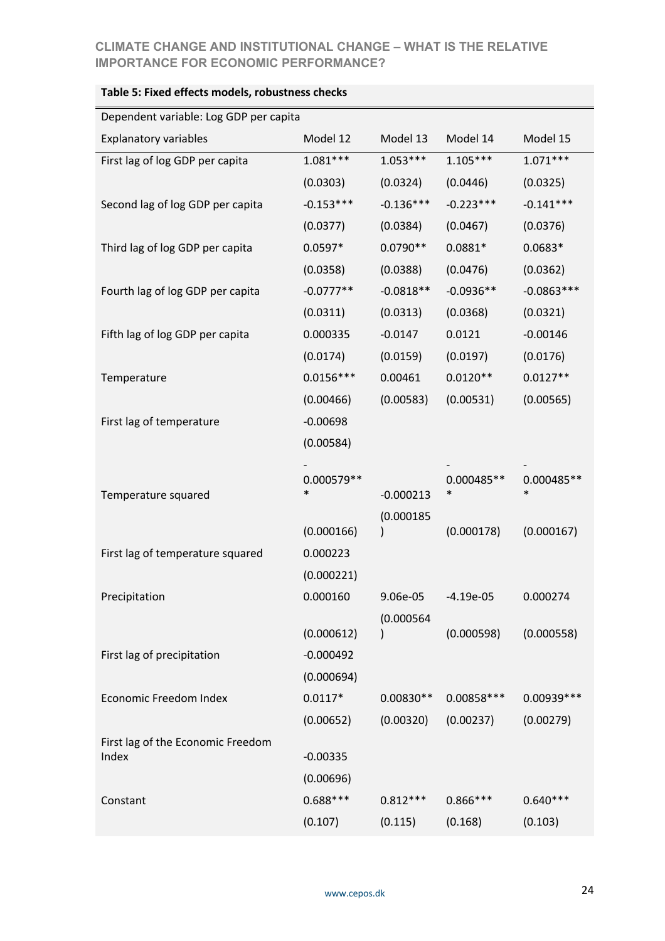| Dependent variable: Log GDP per capita |                       |                       |                       |                       |
|----------------------------------------|-----------------------|-----------------------|-----------------------|-----------------------|
| Explanatory variables                  | Model 12              | Model 13              | Model 14              | Model 15              |
| First lag of log GDP per capita        | $1.081***$            | $1.053***$            | $1.105***$            | $1.071***$            |
|                                        | (0.0303)              | (0.0324)              | (0.0446)              | (0.0325)              |
| Second lag of log GDP per capita       | $-0.153***$           | $-0.136***$           | $-0.223***$           | $-0.141***$           |
|                                        | (0.0377)              | (0.0384)              | (0.0467)              | (0.0376)              |
| Third lag of log GDP per capita        | $0.0597*$             | $0.0790**$            | $0.0881*$             | $0.0683*$             |
|                                        | (0.0358)              | (0.0388)              | (0.0476)              | (0.0362)              |
| Fourth lag of log GDP per capita       | $-0.0777**$           | $-0.0818**$           | $-0.0936**$           | $-0.0863***$          |
|                                        | (0.0311)              | (0.0313)              | (0.0368)              | (0.0321)              |
| Fifth lag of log GDP per capita        | 0.000335              | $-0.0147$             | 0.0121                | $-0.00146$            |
|                                        | (0.0174)              | (0.0159)              | (0.0197)              | (0.0176)              |
| Temperature                            | $0.0156***$           | 0.00461               | $0.0120**$            | $0.0127**$            |
|                                        | (0.00466)             | (0.00583)             | (0.00531)             | (0.00565)             |
| First lag of temperature               | $-0.00698$            |                       |                       |                       |
|                                        | (0.00584)             |                       |                       |                       |
|                                        |                       |                       |                       |                       |
| Temperature squared                    | 0.000579**<br>$\ast$  | $-0.000213$           | 0.000485**<br>$\ast$  | 0.000485**<br>$\ast$  |
|                                        |                       | (0.000185)            |                       |                       |
|                                        | (0.000166)            |                       | (0.000178)            | (0.000167)            |
| First lag of temperature squared       | 0.000223              |                       |                       |                       |
|                                        | (0.000221)            |                       |                       |                       |
| Precipitation                          | 0.000160              | 9.06e-05              | $-4.19e-05$           | 0.000274              |
|                                        |                       | (0.000564)            |                       |                       |
|                                        | (0.000612)            |                       | (0.000598)            | (0.000558)            |
| First lag of precipitation             | $-0.000492$           |                       |                       |                       |
|                                        | (0.000694)            |                       |                       |                       |
| Economic Freedom Index                 | $0.0117*$             | 0.00830**             | 0.00858 ***           | 0.00939 ***           |
|                                        | (0.00652)             | (0.00320)             | (0.00237)             | (0.00279)             |
| First lag of the Economic Freedom      |                       |                       |                       |                       |
|                                        |                       |                       |                       |                       |
| Index                                  | $-0.00335$            |                       |                       |                       |
|                                        | (0.00696)             |                       |                       |                       |
| Constant                               | $0.688***$<br>(0.107) | $0.812***$<br>(0.115) | $0.866***$<br>(0.168) | $0.640***$<br>(0.103) |

#### **Table 5: Fixed effects models, robustness checks**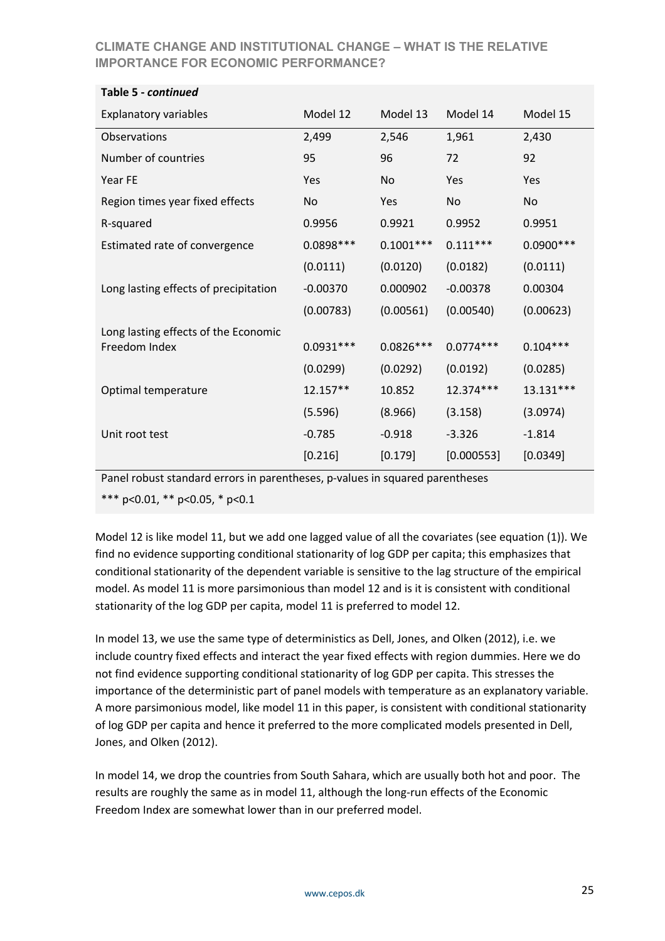| Model 12    | Model 13    | Model 14    | Model 15   |
|-------------|-------------|-------------|------------|
| 2,499       | 2,546       | 1,961       | 2,430      |
| 95          | 96          | 72          | 92         |
| Yes         | No          | Yes         | Yes        |
| No          | Yes         | No          | No         |
| 0.9956      | 0.9921      | 0.9952      | 0.9951     |
| 0.0898 ***  | $0.1001***$ | $0.111***$  | 0.0900 *** |
| (0.0111)    | (0.0120)    | (0.0182)    | (0.0111)   |
| $-0.00370$  | 0.000902    | $-0.00378$  | 0.00304    |
| (0.00783)   | (0.00561)   | (0.00540)   | (0.00623)  |
|             |             |             |            |
| $0.0931***$ | $0.0826***$ | $0.0774***$ | $0.104***$ |
| (0.0299)    | (0.0292)    | (0.0192)    | (0.0285)   |
| 12.157**    | 10.852      | 12.374 ***  | 13.131***  |
| (5.596)     | (8.966)     | (3.158)     | (3.0974)   |
| $-0.785$    | $-0.918$    | $-3.326$    | $-1.814$   |
| [0.216]     | [0.179]     | [0.000553]  | [0.0349]   |
|             |             |             |            |

Panel robust standard errors in parentheses, p-values in squared parentheses

\*\*\* p<0.01, \*\* p<0.05, \* p<0.1

Model 12 is like model 11, but we add one lagged value of all the covariates (see equation (1)). We find no evidence supporting conditional stationarity of log GDP per capita; this emphasizes that conditional stationarity of the dependent variable is sensitive to the lag structure of the empirical model. As model 11 is more parsimonious than model 12 and is it is consistent with conditional stationarity of the log GDP per capita, model 11 is preferred to model 12.

In model 13, we use the same type of deterministics as Dell, Jones, and Olken (2012), i.e. we include country fixed effects and interact the year fixed effects with region dummies. Here we do not find evidence supporting conditional stationarity of log GDP per capita. This stresses the importance of the deterministic part of panel models with temperature as an explanatory variable. A more parsimonious model, like model 11 in this paper, is consistent with conditional stationarity of log GDP per capita and hence it preferred to the more complicated models presented in Dell, Jones, and Olken (2012).

In model 14, we drop the countries from South Sahara, which are usually both hot and poor. The results are roughly the same as in model 11, although the long-run effects of the Economic Freedom Index are somewhat lower than in our preferred model.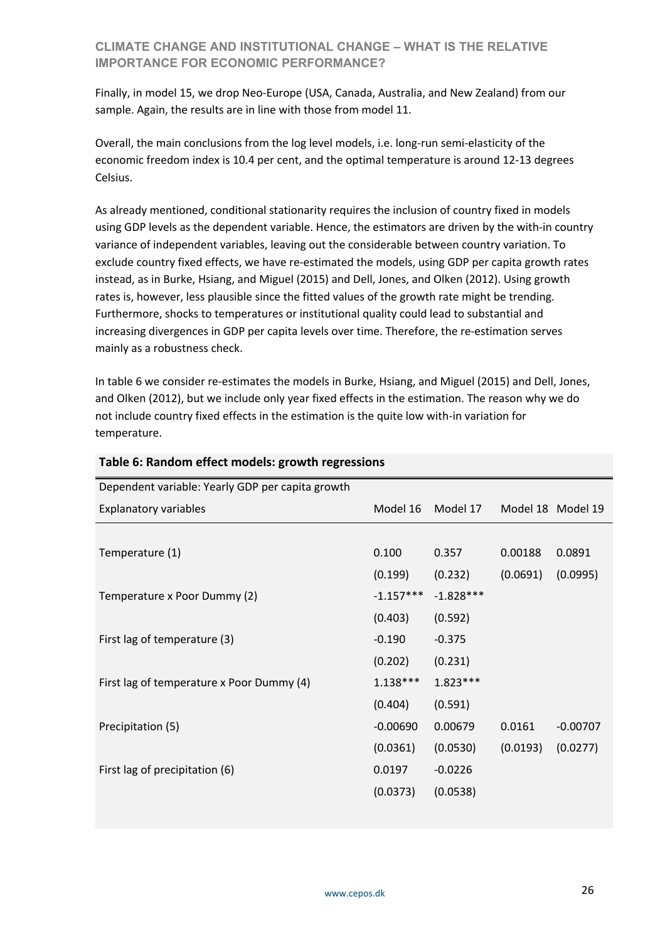Finally, in model 15, we drop Neo-Europe (USA, Canada, Australia, and New Zealand) from our sample. Again, the results are in line with those from model 11.

Overall, the main conclusions from the log level models, i.e. long-run semi-elasticity of the economic freedom index is 10.4 per cent, and the optimal temperature is around 12-13 degrees Celsius.

As already mentioned, conditional stationarity requires the inclusion of country fixed in models using GDP levels as the dependent variable. Hence, the estimators are driven by the with-in country variance of independent variables, leaving out the considerable between country variation. To exclude country fixed effects, we have re-estimated the models, using GDP per capita growth rates instead, as in Burke, Hsiang, and Miguel (2015) and Dell, Jones, and Olken (2012). Using growth rates is, however, less plausible since the fitted values of the growth rate might be trending. Furthermore, shocks to temperatures or institutional quality could lead to substantial and increasing divergences in GDP per capita levels over time. Therefore, the re-estimation serves mainly as a robustness check.

In table 6 we consider re-estimates the models in Burke, Hsiang, and Miguel (2015) and Dell, Jones, and Olken (2012), but we include only year fixed effects in the estimation. The reason why we do not include country fixed effects in the estimation is the quite low with-in variation for temperature.

| Dependent variable: Yearly GDP per capita growth |             |             |          |                   |
|--------------------------------------------------|-------------|-------------|----------|-------------------|
| <b>Explanatory variables</b>                     | Model 16    | Model 17    |          | Model 18 Model 19 |
|                                                  |             |             |          |                   |
| Temperature (1)                                  | 0.100       | 0.357       | 0.00188  | 0.0891            |
|                                                  | (0.199)     | (0.232)     | (0.0691) | (0.0995)          |
| Temperature x Poor Dummy (2)                     | $-1.157***$ | $-1.828***$ |          |                   |
|                                                  | (0.403)     | (0.592)     |          |                   |
| First lag of temperature (3)                     | $-0.190$    | $-0.375$    |          |                   |
|                                                  | (0.202)     | (0.231)     |          |                   |
| First lag of temperature x Poor Dummy (4)        | $1.138***$  | $1.823***$  |          |                   |
|                                                  | (0.404)     | (0.591)     |          |                   |
| Precipitation (5)                                | $-0.00690$  | 0.00679     | 0.0161   | $-0.00707$        |
|                                                  | (0.0361)    | (0.0530)    | (0.0193) | (0.0277)          |
| First lag of precipitation (6)                   | 0.0197      | $-0.0226$   |          |                   |
|                                                  | (0.0373)    | (0.0538)    |          |                   |
|                                                  |             |             |          |                   |

#### **Table 6: Random effect models: growth regressions**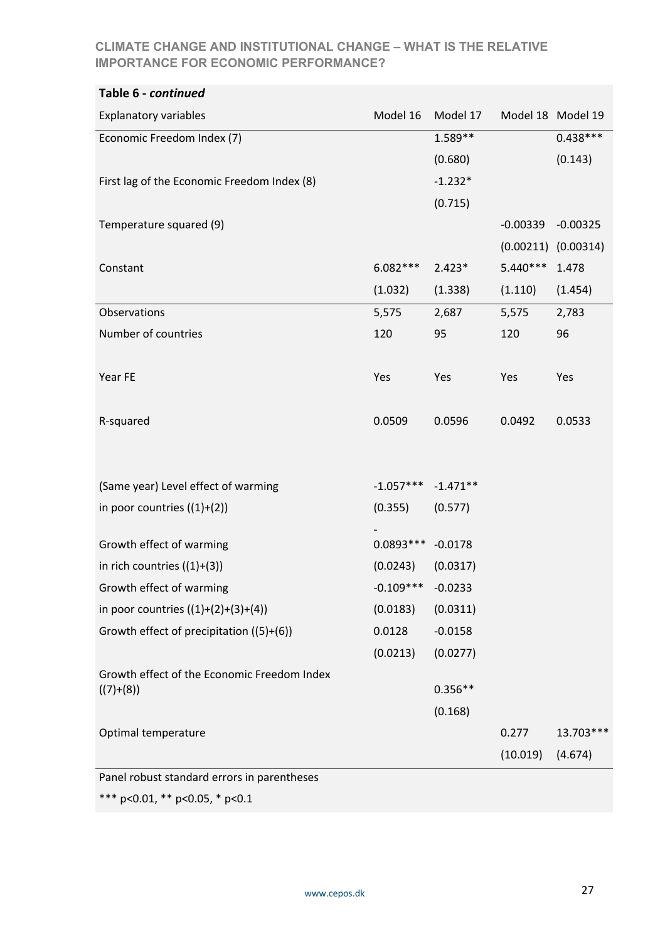| Table 6 - continued                                       |             |                       |            |                   |
|-----------------------------------------------------------|-------------|-----------------------|------------|-------------------|
| <b>Explanatory variables</b>                              | Model 16    | Model 17              |            | Model 18 Model 19 |
| Economic Freedom Index (7)                                |             | 1.589**               |            | $0.438***$        |
|                                                           |             | (0.680)               |            | (0.143)           |
| First lag of the Economic Freedom Index (8)               |             | $-1.232*$             |            |                   |
|                                                           |             | (0.715)               |            |                   |
| Temperature squared (9)                                   |             |                       | $-0.00339$ | $-0.00325$        |
|                                                           |             |                       | (0.00211)  | (0.00314)         |
| Constant                                                  | $6.082***$  | $2.423*$              | $5.440***$ | 1.478             |
|                                                           | (1.032)     | (1.338)               | (1.110)    | (1.454)           |
| Observations                                              | 5,575       | 2,687                 | 5,575      | 2,783             |
| Number of countries                                       | 120         | 95                    | 120        | 96                |
|                                                           |             |                       |            |                   |
| Year FE                                                   | Yes         | Yes                   | Yes        | Yes               |
|                                                           |             |                       |            |                   |
| R-squared                                                 | 0.0509      | 0.0596                | 0.0492     | 0.0533            |
|                                                           |             |                       |            |                   |
|                                                           |             |                       |            |                   |
| (Same year) Level effect of warming                       | $-1.057***$ | $-1.471**$            |            |                   |
| in poor countries $((1)+(2))$                             | (0.355)     | (0.577)               |            |                   |
|                                                           | 0.0893 ***  |                       |            |                   |
| Growth effect of warming<br>in rich countries $((1)+(3))$ | (0.0243)    | $-0.0178$             |            |                   |
|                                                           | $-0.109***$ | (0.0317)<br>$-0.0233$ |            |                   |
| Growth effect of warming                                  | (0.0183)    |                       |            |                   |
| in poor countries $((1)+(2)+(3)+(4))$                     |             | (0.0311)              |            |                   |
| Growth effect of precipitation ((5)+(6))                  | 0.0128      | $-0.0158$             |            |                   |
|                                                           | (0.0213)    | (0.0277)              |            |                   |
| Growth effect of the Economic Freedom Index               |             | $0.356**$             |            |                   |
|                                                           |             | (0.168)               |            |                   |
| Optimal temperature                                       |             |                       | 0.277      | 13.703 ***        |
|                                                           |             |                       | (10.019)   | (4.674)           |
| Panel robust standard errors in parentheses               |             |                       |            |                   |
| $((7)+(8))$                                               |             |                       |            |                   |

\*\*\* p<0.01, \*\* p<0.05, \* p<0.1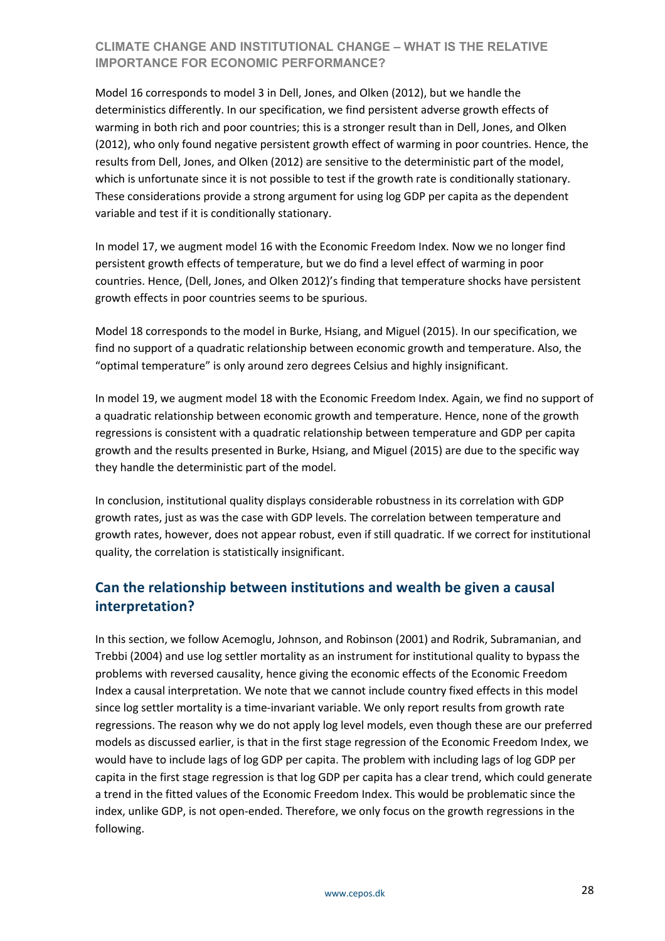Model 16 corresponds to model 3 in Dell, Jones, and Olken (2012), but we handle the deterministics differently. In our specification, we find persistent adverse growth effects of warming in both rich and poor countries; this is a stronger result than in Dell, Jones, and Olken (2012), who only found negative persistent growth effect of warming in poor countries. Hence, the results from Dell, Jones, and Olken (2012) are sensitive to the deterministic part of the model, which is unfortunate since it is not possible to test if the growth rate is conditionally stationary. These considerations provide a strong argument for using log GDP per capita as the dependent variable and test if it is conditionally stationary.

In model 17, we augment model 16 with the Economic Freedom Index. Now we no longer find persistent growth effects of temperature, but we do find a level effect of warming in poor countries. Hence, (Dell, Jones, and Olken 2012)'s finding that temperature shocks have persistent growth effects in poor countries seems to be spurious.

Model 18 corresponds to the model in Burke, Hsiang, and Miguel (2015). In our specification, we find no support of a quadratic relationship between economic growth and temperature. Also, the "optimal temperature" is only around zero degrees Celsius and highly insignificant.

In model 19, we augment model 18 with the Economic Freedom Index. Again, we find no support of a quadratic relationship between economic growth and temperature. Hence, none of the growth regressions is consistent with a quadratic relationship between temperature and GDP per capita growth and the results presented in Burke, Hsiang, and Miguel (2015) are due to the specific way they handle the deterministic part of the model.

In conclusion, institutional quality displays considerable robustness in its correlation with GDP growth rates, just as was the case with GDP levels. The correlation between temperature and growth rates, however, does not appear robust, even if still quadratic. If we correct for institutional quality, the correlation is statistically insignificant.

# **Can the relationship between institutions and wealth be given a causal interpretation?**

In this section, we follow Acemoglu, Johnson, and Robinson (2001) and Rodrik, Subramanian, and Trebbi (2004) and use log settler mortality as an instrument for institutional quality to bypass the problems with reversed causality, hence giving the economic effects of the Economic Freedom Index a causal interpretation. We note that we cannot include country fixed effects in this model since log settler mortality is a time-invariant variable. We only report results from growth rate regressions. The reason why we do not apply log level models, even though these are our preferred models as discussed earlier, is that in the first stage regression of the Economic Freedom Index, we would have to include lags of log GDP per capita. The problem with including lags of log GDP per capita in the first stage regression is that log GDP per capita has a clear trend, which could generate a trend in the fitted values of the Economic Freedom Index. This would be problematic since the index, unlike GDP, is not open-ended. Therefore, we only focus on the growth regressions in the following.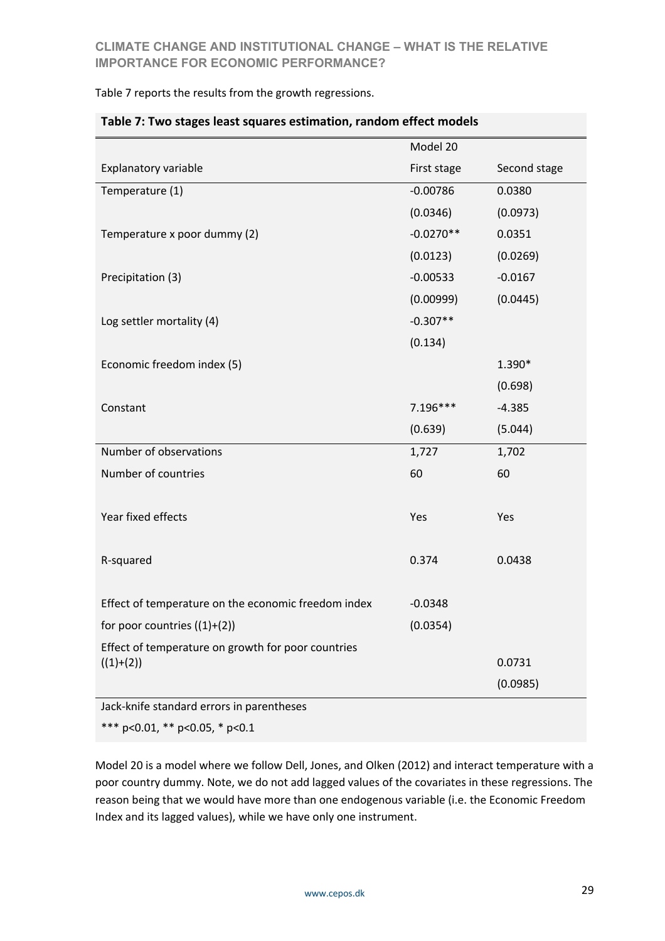Table 7 reports the results from the growth regressions.

|                                                     | Model 20    |              |
|-----------------------------------------------------|-------------|--------------|
| Explanatory variable                                | First stage | Second stage |
| Temperature (1)                                     | $-0.00786$  | 0.0380       |
|                                                     | (0.0346)    | (0.0973)     |
| Temperature x poor dummy (2)                        | $-0.0270**$ | 0.0351       |
|                                                     | (0.0123)    | (0.0269)     |
| Precipitation (3)                                   | $-0.00533$  | $-0.0167$    |
|                                                     | (0.00999)   | (0.0445)     |
| Log settler mortality (4)                           | $-0.307**$  |              |
|                                                     | (0.134)     |              |
| Economic freedom index (5)                          |             | 1.390*       |
|                                                     |             | (0.698)      |
| Constant                                            | 7.196***    | $-4.385$     |
|                                                     | (0.639)     | (5.044)      |
| Number of observations                              | 1,727       | 1,702        |
| Number of countries                                 | 60          | 60           |
|                                                     |             |              |
| Year fixed effects                                  | Yes         | Yes          |
|                                                     |             |              |
| R-squared                                           | 0.374       | 0.0438       |
|                                                     |             |              |
| Effect of temperature on the economic freedom index | $-0.0348$   |              |
| for poor countries $((1)+(2))$                      | (0.0354)    |              |
| Effect of temperature on growth for poor countries  |             |              |
| $((1)+(2))$                                         |             | 0.0731       |
|                                                     |             | (0.0985)     |
| Jack-knife standard errors in parentheses           |             |              |

#### **Table 7: Two stages least squares estimation, random effect models**

\*\*\* p<0.01, \*\* p<0.05, \* p<0.1

Model 20 is a model where we follow Dell, Jones, and Olken (2012) and interact temperature with a poor country dummy. Note, we do not add lagged values of the covariates in these regressions. The reason being that we would have more than one endogenous variable (i.e. the Economic Freedom Index and its lagged values), while we have only one instrument.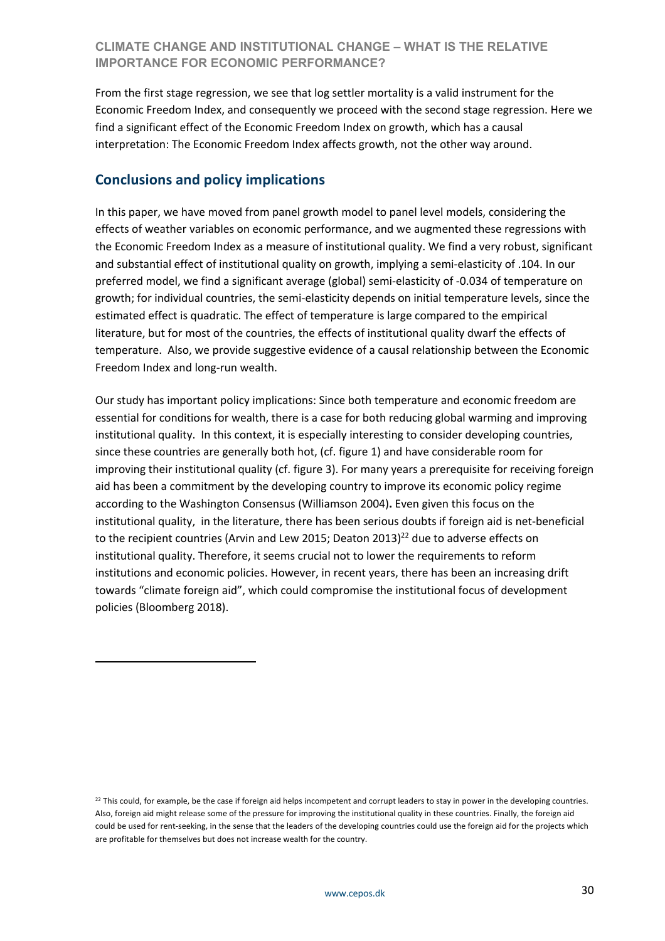From the first stage regression, we see that log settler mortality is a valid instrument for the Economic Freedom Index, and consequently we proceed with the second stage regression. Here we find a significant effect of the Economic Freedom Index on growth, which has a causal interpretation: The Economic Freedom Index affects growth, not the other way around.

# **Conclusions and policy implications**

In this paper, we have moved from panel growth model to panel level models, considering the effects of weather variables on economic performance, and we augmented these regressions with the Economic Freedom Index as a measure of institutional quality. We find a very robust, significant and substantial effect of institutional quality on growth, implying a semi-elasticity of .104. In our preferred model, we find a significant average (global) semi-elasticity of -0.034 of temperature on growth; for individual countries, the semi-elasticity depends on initial temperature levels, since the estimated effect is quadratic. The effect of temperature is large compared to the empirical literature, but for most of the countries, the effects of institutional quality dwarf the effects of temperature. Also, we provide suggestive evidence of a causal relationship between the Economic Freedom Index and long-run wealth.

Our study has important policy implications: Since both temperature and economic freedom are essential for conditions for wealth, there is a case for both reducing global warming and improving institutional quality. In this context, it is especially interesting to consider developing countries, since these countries are generally both hot, (cf. figure 1) and have considerable room for improving their institutional quality (cf. figure 3). For many years a prerequisite for receiving foreign aid has been a commitment by the developing country to improve its economic policy regime according to the Washington Consensus (Williamson 2004)**.** Even given this focus on the institutional quality, in the literature, there has been serious doubts if foreign aid is net-beneficial to the recipient countries (Arvin and Lew 2015; Deaton 2013)<sup>22</sup> due to adverse effects on institutional quality. Therefore, it seems crucial not to lower the requirements to reform institutions and economic policies. However, in recent years, there has been an increasing drift towards "climate foreign aid", which could compromise the institutional focus of development policies (Bloomberg 2018).

<sup>&</sup>lt;sup>22</sup> This could, for example, be the case if foreign aid helps incompetent and corrupt leaders to stay in power in the developing countries. Also, foreign aid might release some of the pressure for improving the institutional quality in these countries. Finally, the foreign aid could be used for rent-seeking, in the sense that the leaders of the developing countries could use the foreign aid for the projects which are profitable for themselves but does not increase wealth for the country.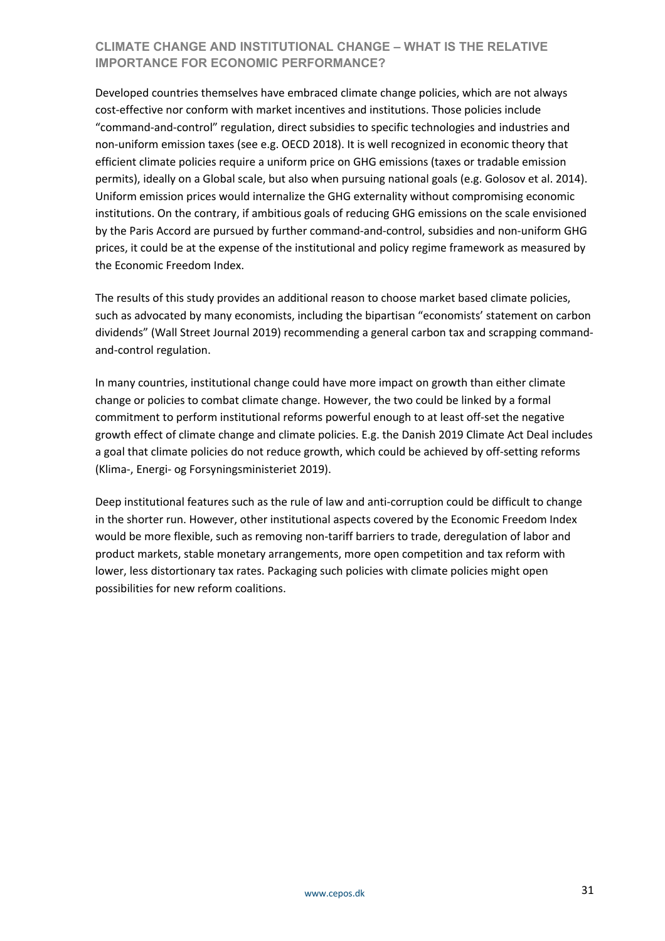Developed countries themselves have embraced climate change policies, which are not always cost-effective nor conform with market incentives and institutions. Those policies include "command-and-control" regulation, direct subsidies to specific technologies and industries and non-uniform emission taxes (see e.g. OECD 2018). It is well recognized in economic theory that efficient climate policies require a uniform price on GHG emissions (taxes or tradable emission permits), ideally on a Global scale, but also when pursuing national goals (e.g. Golosov et al. 2014). Uniform emission prices would internalize the GHG externality without compromising economic institutions. On the contrary, if ambitious goals of reducing GHG emissions on the scale envisioned by the Paris Accord are pursued by further command-and-control, subsidies and non-uniform GHG prices, it could be at the expense of the institutional and policy regime framework as measured by the Economic Freedom Index.

The results of this study provides an additional reason to choose market based climate policies, such as advocated by many economists, including the bipartisan "economists' statement on carbon dividends" (Wall Street Journal 2019) recommending a general carbon tax and scrapping commandand-control regulation.

In many countries, institutional change could have more impact on growth than either climate change or policies to combat climate change. However, the two could be linked by a formal commitment to perform institutional reforms powerful enough to at least off-set the negative growth effect of climate change and climate policies. E.g. the Danish 2019 Climate Act Deal includes a goal that climate policies do not reduce growth, which could be achieved by off-setting reforms (Klima-, Energi- og Forsyningsministeriet 2019).

Deep institutional features such as the rule of law and anti-corruption could be difficult to change in the shorter run. However, other institutional aspects covered by the Economic Freedom Index would be more flexible, such as removing non-tariff barriers to trade, deregulation of labor and product markets, stable monetary arrangements, more open competition and tax reform with lower, less distortionary tax rates. Packaging such policies with climate policies might open possibilities for new reform coalitions.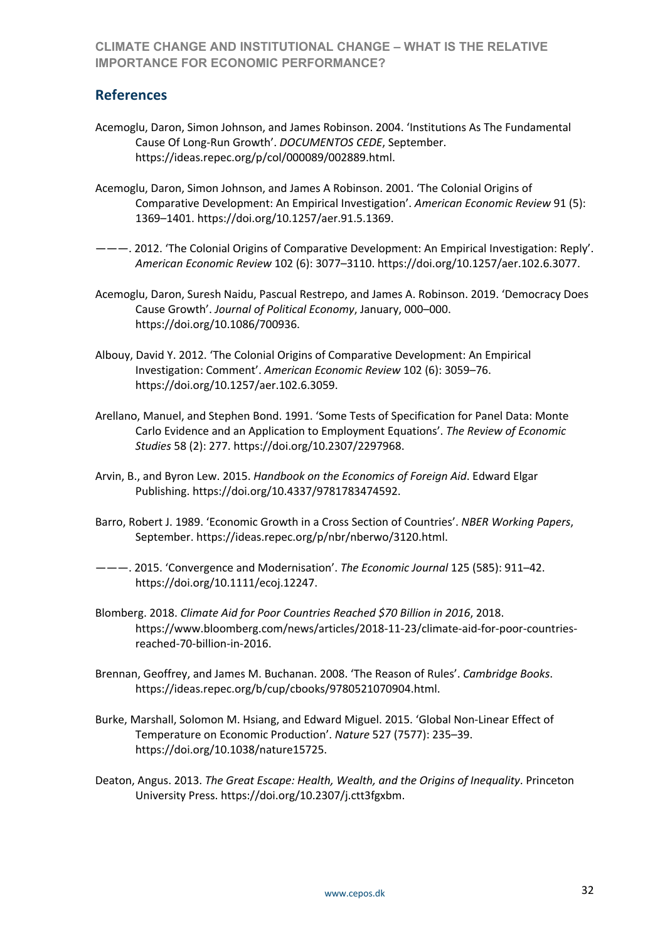# **References**

- Acemoglu, Daron, Simon Johnson, and James Robinson. 2004. 'Institutions As The Fundamental Cause Of Long-Run Growth'. *DOCUMENTOS CEDE*, September. https://ideas.repec.org/p/col/000089/002889.html.
- Acemoglu, Daron, Simon Johnson, and James A Robinson. 2001. 'The Colonial Origins of Comparative Development: An Empirical Investigation'. *American Economic Review* 91 (5): 1369–1401. https://doi.org/10.1257/aer.91.5.1369.
- ———. 2012. 'The Colonial Origins of Comparative Development: An Empirical Investigation: Reply'. *American Economic Review* 102 (6): 3077–3110. https://doi.org/10.1257/aer.102.6.3077.
- Acemoglu, Daron, Suresh Naidu, Pascual Restrepo, and James A. Robinson. 2019. 'Democracy Does Cause Growth'. *Journal of Political Economy*, January, 000–000. https://doi.org/10.1086/700936.
- Albouy, David Y. 2012. 'The Colonial Origins of Comparative Development: An Empirical Investigation: Comment'. *American Economic Review* 102 (6): 3059–76. https://doi.org/10.1257/aer.102.6.3059.
- Arellano, Manuel, and Stephen Bond. 1991. 'Some Tests of Specification for Panel Data: Monte Carlo Evidence and an Application to Employment Equations'. *The Review of Economic Studies* 58 (2): 277. https://doi.org/10.2307/2297968.
- Arvin, B., and Byron Lew. 2015. *Handbook on the Economics of Foreign Aid*. Edward Elgar Publishing. https://doi.org/10.4337/9781783474592.
- Barro, Robert J. 1989. 'Economic Growth in a Cross Section of Countries'. *NBER Working Papers*, September. https://ideas.repec.org/p/nbr/nberwo/3120.html.
- ———. 2015. 'Convergence and Modernisation'. *The Economic Journal* 125 (585): 911–42. https://doi.org/10.1111/ecoj.12247.
- Blomberg. 2018. *Climate Aid for Poor Countries Reached \$70 Billion in 2016*, 2018. https://www.bloomberg.com/news/articles/2018-11-23/climate-aid-for-poor-countriesreached-70-billion-in-2016.
- Brennan, Geoffrey, and James M. Buchanan. 2008. 'The Reason of Rules'. *Cambridge Books*. https://ideas.repec.org/b/cup/cbooks/9780521070904.html.
- Burke, Marshall, Solomon M. Hsiang, and Edward Miguel. 2015. 'Global Non-Linear Effect of Temperature on Economic Production'. *Nature* 527 (7577): 235–39. https://doi.org/10.1038/nature15725.
- Deaton, Angus. 2013. *The Great Escape: Health, Wealth, and the Origins of Inequality*. Princeton University Press. https://doi.org/10.2307/j.ctt3fgxbm.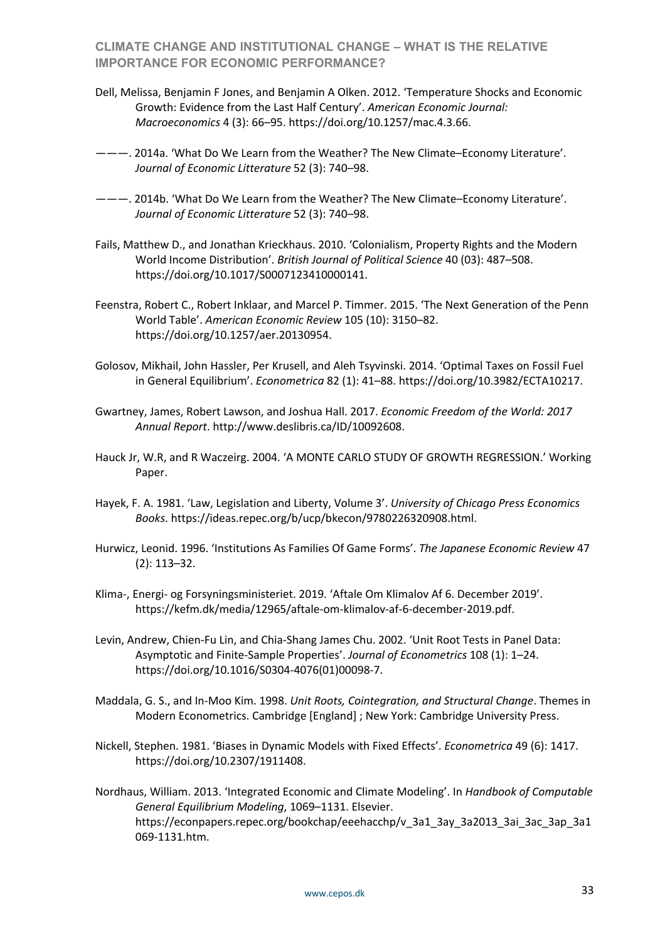- Dell, Melissa, Benjamin F Jones, and Benjamin A Olken. 2012. 'Temperature Shocks and Economic Growth: Evidence from the Last Half Century'. *American Economic Journal: Macroeconomics* 4 (3): 66–95. https://doi.org/10.1257/mac.4.3.66.
- ———. 2014a. 'What Do We Learn from the Weather? The New Climate–Economy Literature'. *Journal of Economic Litterature* 52 (3): 740–98.
- ———. 2014b. 'What Do We Learn from the Weather? The New Climate–Economy Literature'. *Journal of Economic Litterature* 52 (3): 740–98.
- Fails, Matthew D., and Jonathan Krieckhaus. 2010. 'Colonialism, Property Rights and the Modern World Income Distribution'. *British Journal of Political Science* 40 (03): 487–508. https://doi.org/10.1017/S0007123410000141.
- Feenstra, Robert C., Robert Inklaar, and Marcel P. Timmer. 2015. 'The Next Generation of the Penn World Table'. *American Economic Review* 105 (10): 3150–82. https://doi.org/10.1257/aer.20130954.
- Golosov, Mikhail, John Hassler, Per Krusell, and Aleh Tsyvinski. 2014. 'Optimal Taxes on Fossil Fuel in General Equilibrium'. *Econometrica* 82 (1): 41–88. https://doi.org/10.3982/ECTA10217.
- Gwartney, James, Robert Lawson, and Joshua Hall. 2017. *Economic Freedom of the World: 2017 Annual Report*. http://www.deslibris.ca/ID/10092608.
- Hauck Jr, W.R, and R Waczeirg. 2004. 'A MONTE CARLO STUDY OF GROWTH REGRESSION.' Working Paper.
- Hayek, F. A. 1981. 'Law, Legislation and Liberty, Volume 3'. *University of Chicago Press Economics Books*. https://ideas.repec.org/b/ucp/bkecon/9780226320908.html.
- Hurwicz, Leonid. 1996. 'Institutions As Families Of Game Forms'. *The Japanese Economic Review* 47 (2): 113–32.
- Klima-, Energi- og Forsyningsministeriet. 2019. 'Aftale Om Klimalov Af 6. December 2019'. https://kefm.dk/media/12965/aftale-om-klimalov-af-6-december-2019.pdf.
- Levin, Andrew, Chien-Fu Lin, and Chia-Shang James Chu. 2002. 'Unit Root Tests in Panel Data: Asymptotic and Finite-Sample Properties'. *Journal of Econometrics* 108 (1): 1–24. https://doi.org/10.1016/S0304-4076(01)00098-7.
- Maddala, G. S., and In-Moo Kim. 1998. *Unit Roots, Cointegration, and Structural Change*. Themes in Modern Econometrics. Cambridge [England] ; New York: Cambridge University Press.
- Nickell, Stephen. 1981. 'Biases in Dynamic Models with Fixed Effects'. *Econometrica* 49 (6): 1417. https://doi.org/10.2307/1911408.
- Nordhaus, William. 2013. 'Integrated Economic and Climate Modeling'. In *Handbook of Computable General Equilibrium Modeling*, 1069–1131. Elsevier. https://econpapers.repec.org/bookchap/eeehacchp/v\_3a1\_3ay\_3a2013\_3ai\_3ac\_3ap\_3a1 069-1131.htm.